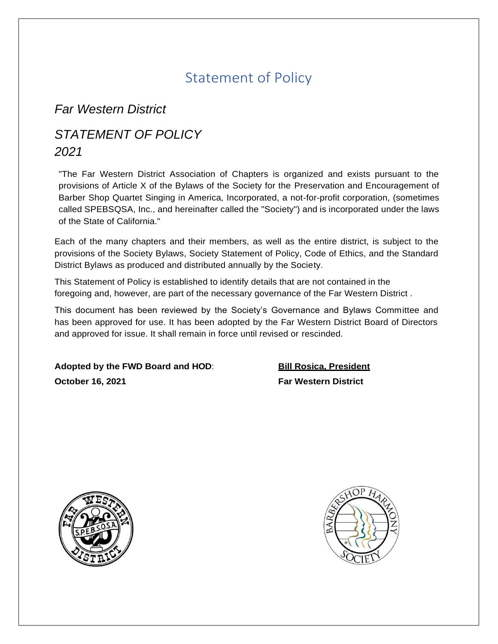# Statement of Policy

*Far Western District*

# *STATEMENT OF POLICY 2021*

"The Far Western District Association of Chapters is organized and exists pursuant to the provisions of Article X of the Bylaws of the Society for the Preservation and Encouragement of Barber Shop Quartet Singing in America, Incorporated, a not-for-profit corporation, (sometimes called SPEBSQSA, Inc., and hereinafter called the "Society") and is incorporated under the laws of the State of California."

Each of the many chapters and their members, as well as the entire district, is subject to the provisions of the Society Bylaws, Society Statement of Policy, Code of Ethics, and the Standard District Bylaws as produced and distributed annually by the Society.

This Statement of Policy is established to identify details that are not contained in the foregoing and, however, are part of the necessary governance of the Far Western District .

This document has been reviewed by the Society's Governance and Bylaws Committee and has been approved for use. It has been adopted by the Far Western District Board of Directors and approved for issue. It shall remain in force until revised or rescinded.

**Adopted by the FWD Board and HOD**: **October 16, 2021**

**Bill Rosica, President Far Western District**



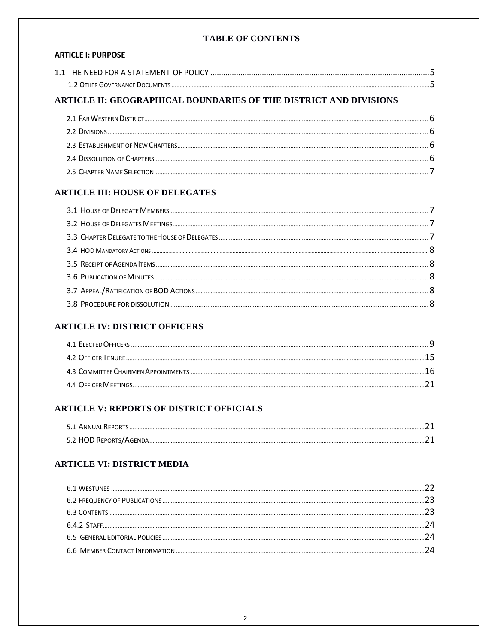#### **TABLE OF CONTENTS**

### **ARTICLE I: PURPOSE**

| 1.1 THE NEED FOR A STATEMENT OF POLICY |  |
|----------------------------------------|--|
|                                        |  |

# ARTICLE II: GEOGRAPHICAL BOUNDARIES OF THE DISTRICT AND DIVISIONS

### **ARTICLE III: HOUSE OF DELEGATES**

### **ARTICLE IV: DISTRICT OFFICERS**

# **ARTICLE V: REPORTS OF DISTRICT OFFICIALS**

| 5.1 ANNUAL REPORTS |  |
|--------------------|--|
|                    |  |

## **ARTICLE VI: DISTRICT MEDIA**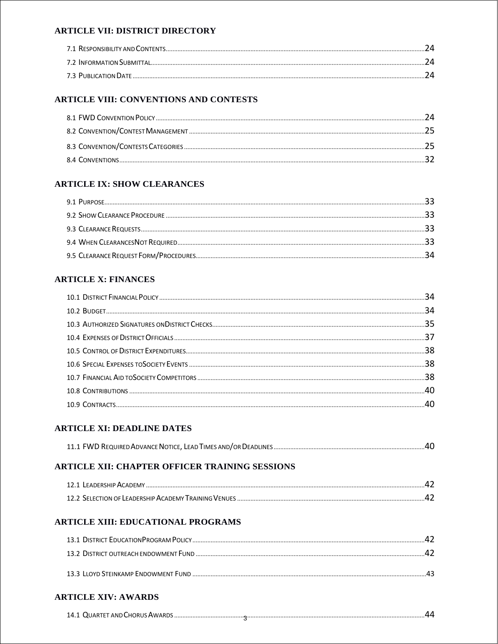#### **ARTICLE VII: DISTRICT DIRECTORY**

| 24  |
|-----|
| ΙД. |
| 2Δ. |

### **ARTICLE VIII: CONVENTIONS AND CONTESTS**

# **ARTICLE IX: SHOW CLEARANCES**

### **ARTICLE X: FINANCES**

### **ARTICLE XI: DEADLINE DATES**

### ARTICLE XII: CHAPTER OFFICER TRAINING SESSIONS

| 12 1 EADERSHIP ACADEMN                                |  |
|-------------------------------------------------------|--|
| 12.2 SELECTION OF LEADERSHIP ACADEMY TRAINING VENLIES |  |

### **ARTICLE XIII: EDUCATIONAL PROGRAMS**

## **ARTICLE XIV: AWARDS**

| 14.1 QUARTET AND CHORUS AWARDS. |
|---------------------------------|
|---------------------------------|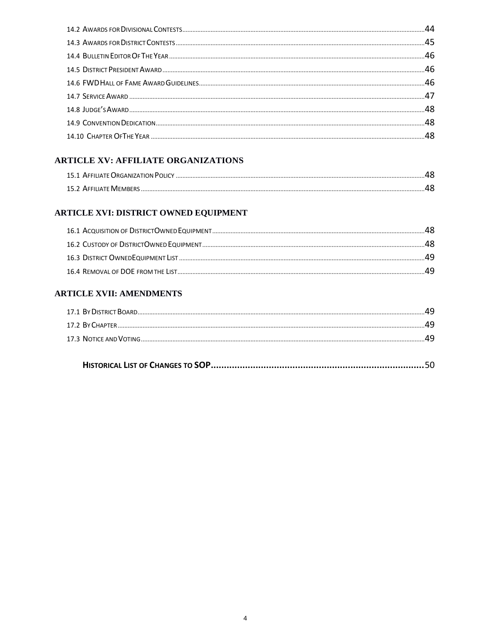### **ARTICLE XV: AFFILIATE ORGANIZATIONS**

# ARTICLE XVI: DISTRICT OWNED EQUIPMENT

### **ARTICLE XVII: AMENDMENTS**

| 44 |
|----|
| 49 |
| 49 |
|    |

|--|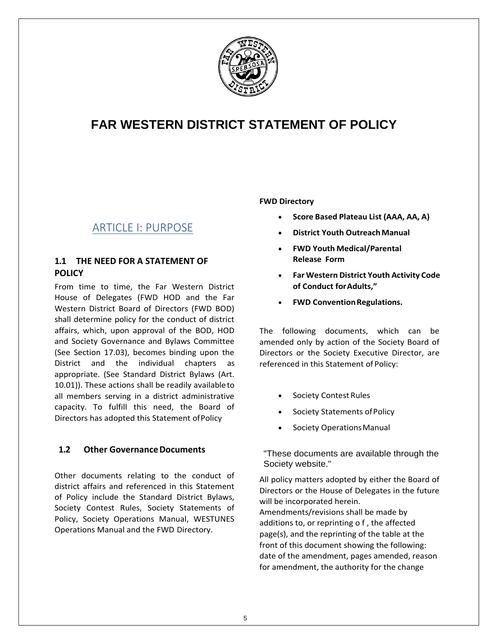

# **FAR WESTERN DISTRICT STATEMENT OF POLICY**

# ARTICLE I: PURPOSE

### **1.1 THE NEED FOR A STATEMENT OF POLICY**

From time to time, the Far Western District House of Delegates (FWD HOD and the Far Western District Board of Directors (FWD BOD) shall determine policy for the conduct of district affairs, which, upon approval of the BOD, HOD and Society Governance and Bylaws Committee (See Section 17.03), becomes binding upon the District and the individual chapters as appropriate. (See Standard District Bylaws (Art. 10.01)). These actions shall be readily availableto all members serving in a district administrative capacity. To fulfill this need, the Board of Directors has adopted this Statement ofPolicy

### **1.2** Other Governance Documents

Other documents relating to the conduct of district affairs and referenced in this Statement of Policy include the Standard District Bylaws, Society Contest Rules, Society Statements of Policy, Society Operations Manual, WESTUNES Operations Manual and the FWD Directory.

#### **FWD Directory**

- **Score Based Plateau List (AAA, AA, A)**
- **District Youth OutreachManual**
- **FWD Youth Medical/Parental Release Form**
- **Far Western District Youth Activity Code of Conduct forAdults,"**
- **FWD Convention Regulations.**

The following documents, which can be amended only by action of the Society Board of Directors or the Society Executive Director, are referenced in this Statement of Policy:

- Society Contest Rules
- Society Statements of Policy
- Society Operations Manual

"These documents are available through the Society website."

All policy matters adopted by either the Board of Directors or the House of Delegates in the future will be incorporated herein. Amendments/revisions shall be made by additions to, or reprinting o f , the affected page(s), and the reprinting of the table at the front of this document showing the following: date of the amendment, pages amended, reason for amendment, the authority for the change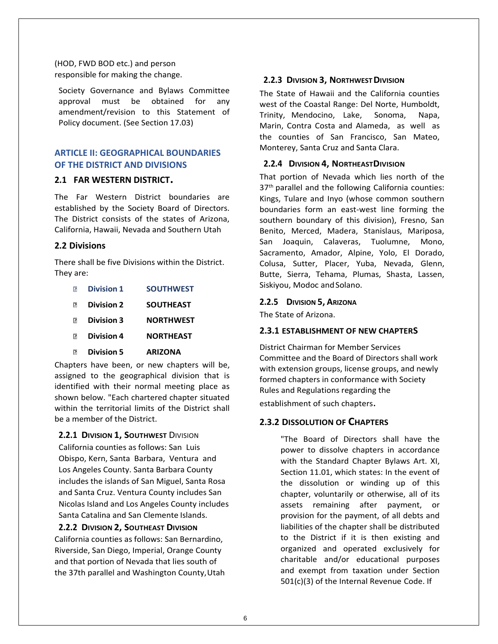(HOD, FWD BOD etc.) and person responsible for making the change.

Society Governance and Bylaws Committee approval must be obtained for any amendment/revision to this Statement of Policy document. (See Section 17.03)

### **ARTICLE II: GEOGRAPHICAL BOUNDARIES OF THE DISTRICT AND DIVISIONS**

#### **2.1 FAR WESTERN DISTRICT.**

The Far Western District boundaries are established by the Society Board of Directors. The District consists of the states of Arizona, California, Hawaii, Nevada and Southern Utah

#### **2.2 Divisions**

There shall be five Divisions within the District. They are:

- **Division 1 SOUTHWEST**
- $\Box$ **Division 2 SOUTHEAST**
- **Division 3 NORTHWEST**
- **Division 4 NORTHEAST**
- $\overline{2}$ **Division 5 ARIZONA**

Chapters have been, or new chapters will be, assigned to the geographical division that is identified with their normal meeting place as shown below. "Each chartered chapter situated within the territorial limits of the District shall be a member of the District.

#### **2.2.1 DIVISION 1, SOUTHWEST** DIVISION

California counties as follows: San Luis Obispo, Kern, Santa Barbara, Ventura and Los Angeles County. Santa Barbara County includes the islands of San Miguel, Santa Rosa and Santa Cruz. Ventura County includes San Nicolas Island and Los Angeles County includes Santa Catalina and San Clemente Islands.

#### **2.2.2 DIVISION 2, SOUTHEAST DIVISION**

California counties as follows: San Bernardino, Riverside, San Diego, Imperial, Orange County and that portion of Nevada that lies south of the 37th parallel and Washington County, Utah

#### **2.2.3 DIVISION 3, NORTHWESTDIVISION**

The State of Hawaii and the California counties west of the Coastal Range: Del Norte, Humboldt, Trinity, Mendocino, Lake, Sonoma, Napa, Marin, Contra Costa and Alameda, as well as the counties of San Francisco, San Mateo, Monterey, Santa Cruz and Santa Clara.

#### **2.2.4 DIVISION 4, NORTHEASTDIVISION**

That portion of Nevada which lies north of the 37<sup>th</sup> parallel and the following California counties: Kings, Tulare and Inyo (whose common southern boundaries form an east-west line forming the southern boundary of this division), Fresno, San Benito, Merced, Madera, Stanislaus, Mariposa, San Joaquin, Calaveras, Tuolumne, Mono, Sacramento, Amador, Alpine, Yolo, El Dorado, Colusa, Sutter, Placer, Yuba, Nevada, Glenn, Butte, Sierra, Tehama, Plumas, Shasta, Lassen, Siskiyou, Modoc and Solano.

#### **2.2.5 DIVISION 5, ARIZONA**

The State of Arizona.

#### **2.3.1 ESTABLISHMENT OF NEW CHAPTERS**

District Chairman for Member Services Committee and the Board of Directors shall work with extension groups, license groups, and newly formed chapters in conformance with Society Rules and Regulations regarding the

establishment of such chapters.

#### **2.3.2 DISSOLUTION OF CHAPTERS**

"The Board of Directors shall have the power to dissolve chapters in accordance with the Standard Chapter Bylaws Art. XI, Section 11.01, which states: In the event of the dissolution or winding up of this chapter, voluntarily or otherwise, all of its assets remaining after payment, or provision for the payment, of all debts and liabilities of the chapter shall be distributed to the District if it is then existing and organized and operated exclusively for charitable and/or educational purposes and exempt from taxation under Section 501(c)(3) of the Internal Revenue Code. If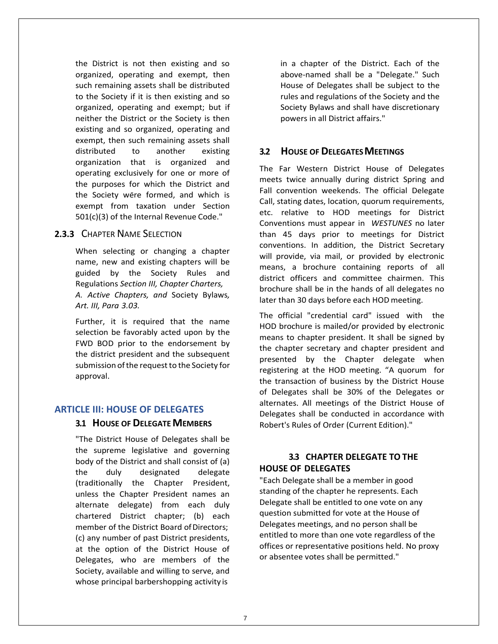the District is not then existing and so organized, operating and exempt, then such remaining assets shall be distributed to the Society if it is then existing and so organized, operating and exempt; but if neither the District or the Society is then existing and so organized, operating and exempt, then such remaining assets shall distributed to another existing organization that is organized and operating exclusively for one or more of the purposes for which the District and the Society were formed, and which is exempt from taxation under Section 501(c)(3) of the Internal Revenue Code."

### **2.3.3** CHAPTER NAME SELECTION

When selecting or changing a chapter name, new and existing chapters will be guided by the Society Rules and Regulations *Section III, Chapter Charters, A. Active Chapters, and* Society Bylaws*, Art. III, Para 3.03.*

Further, it is required that the name selection be favorably acted upon by the FWD BOD prior to the endorsement by the district president and the subsequent submission of the request to the Society for approval.

#### **ARTICLE III: HOUSE OF DELEGATES**

#### **3.1 HOUSE OF DELEGATEMEMBERS**

"The District House of Delegates shall be the supreme legislative and governing body of the District and shall consist of (a) the duly designated delegate (traditionally the Chapter President, unless the Chapter President names an alternate delegate) from each duly chartered District chapter; (b) each member of the District Board of Directors; (c) any number of past District presidents, at the option of the District House of Delegates, who are members of the Society, available and willing to serve, and whose principal barbershopping activity is

in a chapter of the District. Each of the above-named shall be a "Delegate." Such House of Delegates shall be subject to the rules and regulations of the Society and the Society Bylaws and shall have discretionary powers in all District affairs."

### **3.2 HOUSE OF DELEGATESMEETINGS**

The Far Western District House of Delegates meets twice annually during district Spring and Fall convention weekends. The official Delegate Call, stating dates, location, quorum requirements, etc. relative to HOD meetings for District Conventions must appear in *WESTUNES* no later than 45 days prior to meetings for District conventions. In addition, the District Secretary will provide, via mail, or provided by electronic means, a brochure containing reports of all district officers and committee chairmen. This brochure shall be in the hands of all delegates no later than 30 days before each HOD meeting.

The official "credential card" issued with the HOD brochure is mailed/or provided by electronic means to chapter president. It shall be signed by the chapter secretary and chapter president and presented by the Chapter delegate when registering at the HOD meeting. "A quorum for the transaction of business by the District House of Delegates shall be 30% of the Delegates or alternates. All meetings of the District House of Delegates shall be conducted in accordance with Robert's Rules of Order (Current Edition)."

### **3.3 CHAPTER DELEGATE TO THE HOUSE OF DELEGATES**

"Each Delegate shall be a member in good standing of the chapter he represents. Each Delegate shall be entitled to one vote on any question submitted for vote at the House of Delegates meetings, and no person shall be entitled to more than one vote regardless of the offices or representative positions held. No proxy or absentee votes shall be permitted."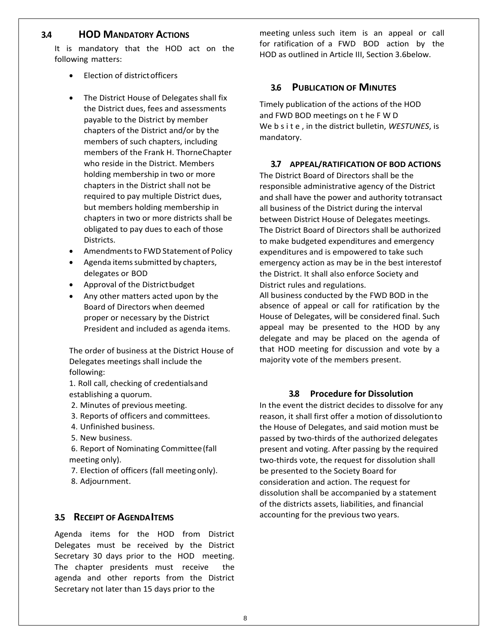### **3.4 HOD MANDATORY ACTIONS**

It is mandatory that the HOD act on the following matters:

- Election of district officers
- The District House of Delegates shall fix the District dues, fees and assessments payable to the District by member chapters of the District and/or by the members of such chapters, including members of the Frank H. ThorneChapter who reside in the District. Members holding membership in two or more chapters in the District shall not be required to pay multiple District dues, but members holding membership in chapters in two or more districts shall be obligated to pay dues to each of those Districts.
- Amendmentsto FWD Statement of Policy
- Agenda items submitted by chapters, delegates or BOD
- Approval of the District budget
- Any other matters acted upon by the Board of Directors when deemed proper or necessary by the District President and included as agenda items.

The order of business at the District House of Delegates meetings shall include the following:

1. Roll call, checking of credentialsand establishing a quorum.

- 2. Minutes of previous meeting.
- 3. Reports of officers and committees.
- 4. Unfinished business.
- 5. New business.

6. Report of Nominating Committee(fall meeting only).

7. Election of officers (fall meeting only).

8. Adjournment.

#### **3.5 RECEIPT OF AGENDAITEMS**

Agenda items for the HOD from District Delegates must be received by the District Secretary 30 days prior to the HOD meeting. The chapter presidents must receive the agenda and other reports from the District Secretary not later than 15 days prior to the

meeting unless such item is an appeal or call for ratification of a FWD BOD action by the HOD as outlined in Article III, Section 3.6below.

#### **3.6 PUBLICATION OF MINUTES**

Timely publication of the actions of the HOD and FWD BOD meetings on t he F W D We b s i t e , in the district bulletin, *WESTUNES*, is mandatory.

#### **3.7 APPEAL/RATIFICATION OF BOD ACTIONS**

The District Board of Directors shall be the responsible administrative agency of the District and shall have the power and authority totransact all business of the District during the interval between District House of Delegates meetings. The District Board of Directors shall be authorized to make budgeted expenditures and emergency expenditures and is empowered to take such emergency action as may be in the best interestof the District. It shall also enforce Society and District rules and regulations.

All business conducted by the FWD BOD in the absence of appeal or call for ratification by the House of Delegates, will be considered final. Such appeal may be presented to the HOD by any delegate and may be placed on the agenda of that HOD meeting for discussion and vote by a majority vote of the members present.

#### **3.8 Procedure for Dissolution**

In the event the district decides to dissolve for any reason, it shall first offer a motion of dissolutionto the House of Delegates, and said motion must be passed by two-thirds of the authorized delegates present and voting. After passing by the required two-thirds vote, the request for dissolution shall be presented to the Society Board for consideration and action. The request for dissolution shall be accompanied by a statement of the districts assets, liabilities, and financial accounting for the previous two years.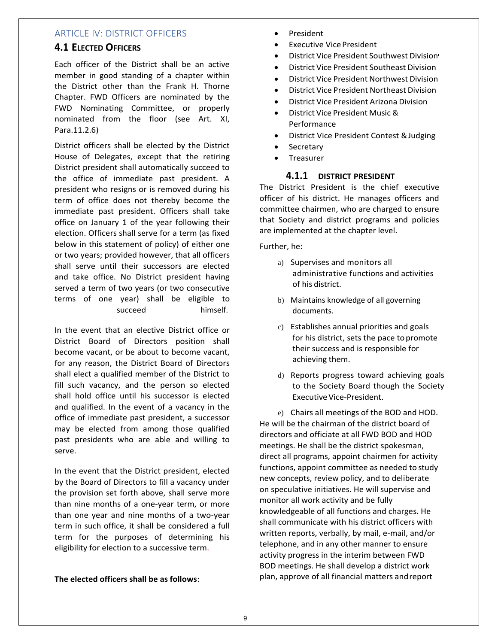### ARTICLE IV: DISTRICT OFFICERS

### **4.1 ELECTED OFFICERS**

Each officer of the District shall be an active member in good standing of a chapter within the District other than the Frank H. Thorne Chapter. FWD Officers are nominated by the FWD Nominating Committee, or properly nominated from the floor (see Art. XI, Para.11.2.6)

District officers shall be elected by the District House of Delegates, except that the retiring District president shall automatically succeed to the office of immediate past president. A president who resigns or is removed during his term of office does not thereby become the immediate past president. Officers shall take office on January 1 of the year following their election. Officers shall serve for a term (as fixed below in this statement of policy) of either one or two years; provided however, that all officers shall serve until their successors are elected and take office. No District president having served a term of two years (or two consecutive terms of one year) shall be eligible to succeed himself.

In the event that an elective District office or District Board of Directors position shall become vacant, or be about to become vacant, for any reason, the District Board of Directors shall elect a qualified member of the District to fill such vacancy, and the person so elected shall hold office until his successor is elected and qualified. In the event of a vacancy in the office of immediate past president, a successor may be elected from among those qualified past presidents who are able and willing to serve.

In the event that the District president, elected by the Board of Directors to fill a vacancy under the provision set forth above, shall serve more than nine months of a one-year term, or more than one year and nine months of a two-year term in such office, it shall be considered a full term for the purposes of determining his eligibility for election to a successive term.

**The elected officers shall be as follows**:

- President
- **Executive Vice President**
- District Vice President Southwest Division
- District Vice President Southeast Division
- District Vice President Northwest Division
- District Vice President Northeast Division
- District Vice President Arizona Division
- District Vice President Music & Performance
- District Vice President Contest &Judging
- Secretary
- Treasurer

#### **4.1.1 DISTRICT PRESIDENT**

The District President is the chief executive officer of his district. He manages officers and committee chairmen, who are charged to ensure that Society and district programs and policies are implemented at the chapter level.

Further, he:

- a) Supervises and monitors all administrative functions and activities of his district.
- b) Maintains knowledge of all governing documents.
- c) Establishes annual priorities and goals for his district, sets the pace to promote their success and is responsible for achieving them.
- d) Reports progress toward achieving goals to the Society Board though the Society Executive Vice-President.

e) Chairs all meetings of the BOD and HOD. He will be the chairman of the district board of directors and officiate at all FWD BOD and HOD meetings. He shall be the district spokesman, direct all programs, appoint chairmen for activity functions, appoint committee as needed to study new concepts, review policy, and to deliberate on speculative initiatives. He will supervise and monitor all work activity and be fully knowledgeable of all functions and charges. He shall communicate with his district officers with written reports, verbally, by mail, e-mail, and/or telephone, and in any other manner to ensure activity progress in the interim between FWD BOD meetings. He shall develop a district work plan, approve of all financial matters andreport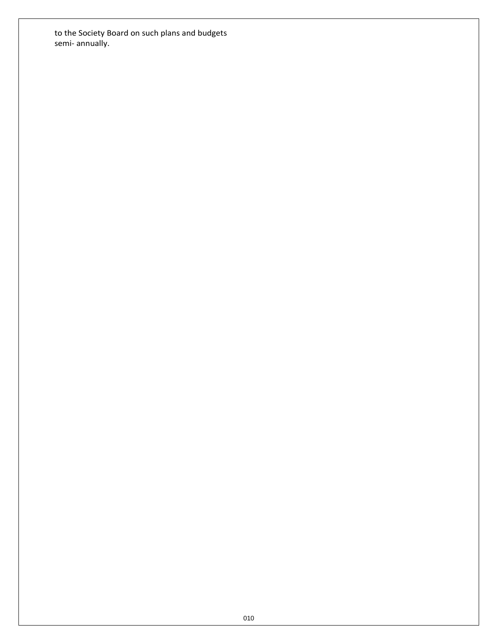to the Society Board on such plans and budgets semi- annually.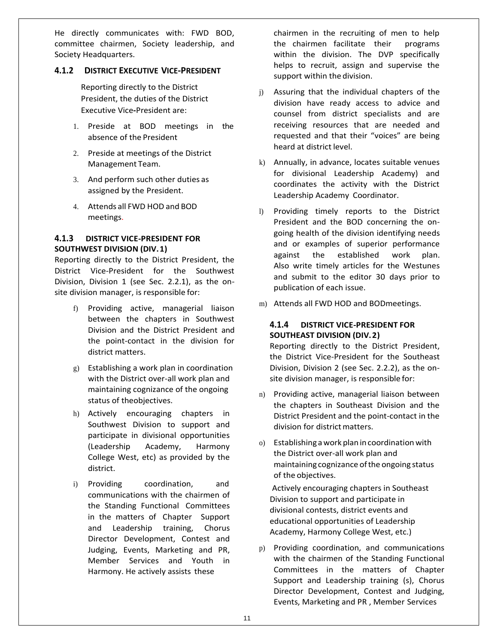He directly communicates with: FWD BOD, committee chairmen, Society leadership, and Society Headquarters.

#### **4.1.2 DISTRICT EXECUTIVE VICE-PRESIDENT**

Reporting directly to the District President, the duties of the District Executive Vice**-**President are:

- 1. Preside at BOD meetings in the absence of the President
- 2. Preside at meetings of the District Management Team.
- 3. And perform such other duties as assigned by the President.
- 4. Attends all FWD HOD and BOD meetings.

#### **4.1.3 DISTRICT VICE-PRESIDENT FOR SOUTHWEST DIVISION (DIV.1)**

Reporting directly to the District President, the District Vice-President for the Southwest Division, Division 1 (see Sec. 2.2.1), as the onsite division manager, is responsible for:

- f) Providing active, managerial liaison between the chapters in Southwest Division and the District President and the point-contact in the division for district matters.
- g) Establishing a work plan in coordination with the District over-all work plan and maintaining cognizance of the ongoing status of theobjectives.
- h) Actively encouraging chapters in Southwest Division to support and participate in divisional opportunities (Leadership Academy, Harmony College West, etc) as provided by the district.
- i) Providing coordination, and communications with the chairmen of the Standing Functional Committees in the matters of Chapter Support and Leadership training, Chorus Director Development, Contest and Judging, Events, Marketing and PR, Member Services and Youth in Harmony. He actively assists these

chairmen in the recruiting of men to help the chairmen facilitate their programs within the division. The DVP specifically helps to recruit, assign and supervise the support within the division.

- j) Assuring that the individual chapters of the division have ready access to advice and counsel from district specialists and are receiving resources that are needed and requested and that their "voices" are being heard at district level.
- k) Annually, in advance, locates suitable venues for divisional Leadership Academy) and coordinates the activity with the District Leadership Academy Coordinator.
- l) Providing timely reports to the District President and the BOD concerning the ongoing health of the division identifying needs and or examples of superior performance against the established work plan. Also write timely articles for the Westunes and submit to the editor 30 days prior to publication of each issue.
- m) Attends all FWD HOD and BODmeetings.

#### **4.1.4 DISTRICT VICE-PRESIDENT FOR SOUTHEAST DIVISION (DIV.2)**

Reporting directly to the District President, the District Vice-President for the Southeast Division, Division 2 (see Sec. 2.2.2), as the onsite division manager, is responsible for:

- n) Providing active, managerial liaison between the chapters in Southeast Division and the District President and the point-contact in the division for district matters.
- o) Establishingawork planincoordinationwith the District over-all work plan and maintainingcognizance ofthe ongoing status of the objectives.

Actively encouraging chapters in Southeast Division to support and participate in divisional contests, district events and educational opportunities of Leadership Academy, Harmony College West, etc.)

p) Providing coordination, and communications with the chairmen of the Standing Functional Committees in the matters of Chapter Support and Leadership training (s), Chorus Director Development, Contest and Judging, Events, Marketing and PR , Member Services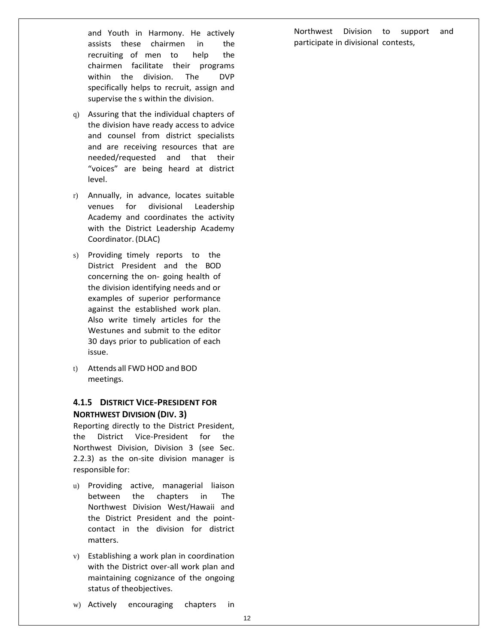and Youth in Harmony. He actively assists these chairmen in the recruiting of men to help the chairmen facilitate their programs within the division. The DVP specifically helps to recruit, assign and supervise the s within the division.

- q) Assuring that the individual chapters of the division have ready access to advice and counsel from district specialists and are receiving resources that are needed/requested and that their "voices" are being heard at district level.
- r) Annually, in advance, locates suitable venues for divisional Leadership Academy and coordinates the activity with the District Leadership Academy Coordinator.(DLAC)
- s) Providing timely reports to the District President and the BOD concerning the on- going health of the division identifying needs and or examples of superior performance against the established work plan. Also write timely articles for the Westunes and submit to the editor 30 days prior to publication of each issue.
- t) Attends all FWD HOD and BOD meetings.

### **4.1.5 DISTRICT VICE-PRESIDENT FOR NORTHWEST DIVISION (DIV. 3)**

Reporting directly to the District President, the District Vice-President for the Northwest Division, Division 3 (see Sec. 2.2.3) as the on-site division manager is responsible for:

- u) Providing active, managerial liaison between the chapters in The Northwest Division West/Hawaii and the District President and the pointcontact in the division for district matters.
- v) Establishing a work plan in coordination with the District over-all work plan and maintaining cognizance of the ongoing status of theobjectives.
- w) Actively encouraging chapters in

Northwest Division to support and participate in divisional contests,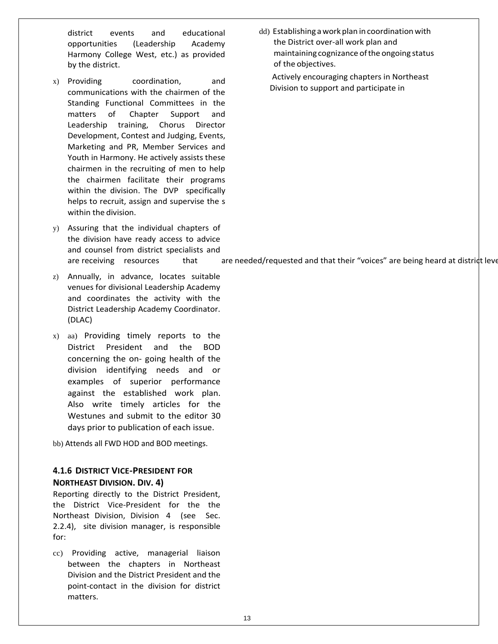district events and educational opportunities (Leadership Academy Harmony College West, etc.) as provided by the district.

- x) Providing coordination, and communications with the chairmen of the Standing Functional Committees in the matters of Chapter Support and Leadership training, Chorus Director Development, Contest and Judging, Events, Marketing and PR, Member Services and Youth in Harmony. He actively assists these chairmen in the recruiting of men to help the chairmen facilitate their programs within the division. The DVP specifically helps to recruit, assign and supervise the s within the division.
- y) Assuring that the individual chapters of the division have ready access to advice and counsel from district specialists and
- z) Annually, in advance, locates suitable venues for divisional Leadership Academy and coordinates the activity with the District Leadership Academy Coordinator. (DLAC)
- x) aa) Providing timely reports to the District President and the BOD concerning the on- going health of the division identifying needs and or examples of superior performance against the established work plan. Also write timely articles for the Westunes and submit to the editor 30 days prior to publication of each issue.

bb) Attends all FWD HOD and BOD meetings.

### **4.1.6 DISTRICT VICE-PRESIDENT FOR NORTHEAST DIVISION. DIV. 4)**

Reporting directly to the District President, the District Vice-President for the the Northeast Division, Division 4 (see Sec. 2.2.4), site division manager, is responsible for:

cc) Providing active, managerial liaison between the chapters in Northeast Division and the District President and the point-contact in the division for district matters.

dd) Establishing a work plan in coordination with the District over-all work plan and maintainingcognizance ofthe ongoing status of the objectives.

Actively encouraging chapters in Northeast Division to support and participate in

are receiving resources that are needed/requested and that their "voices" are being heard at district level.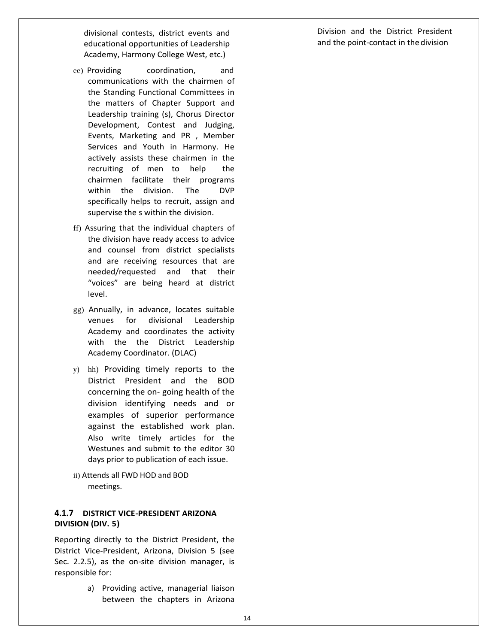divisional contests, district events and educational opportunities of Leadership Academy, Harmony College West, etc.)

- ee) Providing coordination, and communications with the chairmen of the Standing Functional Committees in the matters of Chapter Support and Leadership training (s), Chorus Director Development, Contest and Judging, Events, Marketing and PR , Member Services and Youth in Harmony. He actively assists these chairmen in the recruiting of men to help the chairmen facilitate their programs within the division. The DVP specifically helps to recruit, assign and supervise the s within the division.
- ff) Assuring that the individual chapters of the division have ready access to advice and counsel from district specialists and are receiving resources that are needed/requested and that their "voices" are being heard at district level.
- gg) Annually, in advance, locates suitable venues for divisional Leadership Academy and coordinates the activity with the the District Leadership Academy Coordinator. (DLAC)
- y) hh) Providing timely reports to the District President and the BOD concerning the on- going health of the division identifying needs and or examples of superior performance against the established work plan. Also write timely articles for the Westunes and submit to the editor 30 days prior to publication of each issue.
- ii) Attends all FWD HOD and BOD meetings.

### **4.1.7 DISTRICT VICE-PRESIDENT ARIZONA DIVISION (DIV. 5)**

Reporting directly to the District President, the District Vice-President, Arizona, Division 5 (see Sec. 2.2.5), as the on-site division manager, is responsible for:

> a) Providing active, managerial liaison between the chapters in Arizona

Division and the District President and the point-contact in thedivision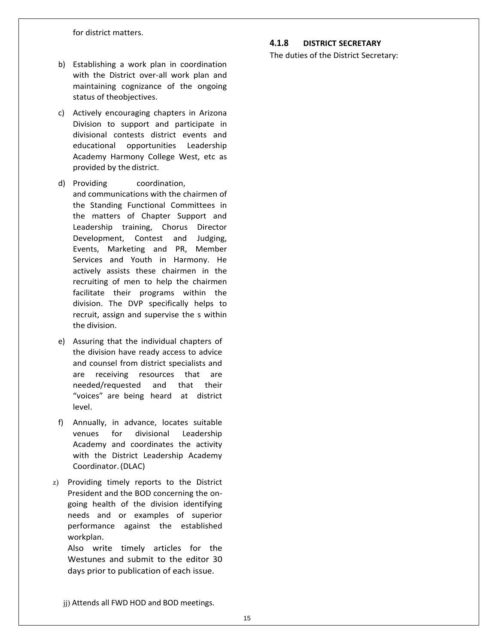for district matters.

- b) Establishing a work plan in coordination with the District over-all work plan and maintaining cognizance of the ongoing status of theobjectives.
- c) Actively encouraging chapters in Arizona Division to support and participate in divisional contests district events and educational opportunities Leadership Academy Harmony College West, etc as provided by the district.
- d) Providing coordination, and communications with the chairmen of the Standing Functional Committees in the matters of Chapter Support and Leadership training, Chorus Director Development, Contest and Judging, Events, Marketing and PR, Member Services and Youth in Harmony. He actively assists these chairmen in the recruiting of men to help the chairmen facilitate their programs within the division. The DVP specifically helps to recruit, assign and supervise the s within the division.
- e) Assuring that the individual chapters of the division have ready access to advice and counsel from district specialists and are receiving resources that are needed/requested and that their "voices" are being heard at district level.
- f) Annually, in advance, locates suitable venues for divisional Leadership Academy and coordinates the activity with the District Leadership Academy Coordinator.(DLAC)
- z) Providing timely reports to the District President and the BOD concerning the ongoing health of the division identifying needs and or examples of superior performance against the established workplan.

Also write timely articles for the Westunes and submit to the editor 30 days prior to publication of each issue.

**4.1.8 DISTRICT SECRETARY**

The duties of the District Secretary:

jj) Attends all FWD HOD and BOD meetings.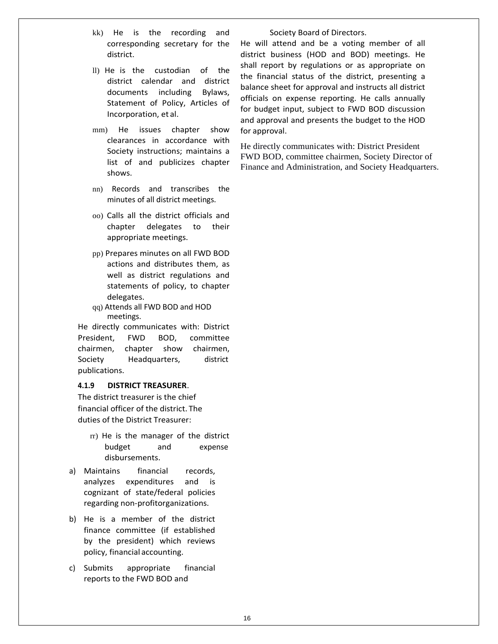- kk) He is the recording and corresponding secretary for the district.
- ll) He is the custodian of the district calendar and district documents including Bylaws, Statement of Policy, Articles of Incorporation, et al.
- mm) He issues chapter show clearances in accordance with Society instructions; maintains a list of and publicizes chapter shows.
- nn) Records and transcribes the minutes of all district meetings.
- oo) Calls all the district officials and chapter delegates to their appropriate meetings.
- pp) Prepares minutes on all FWD BOD actions and distributes them, as well as district regulations and statements of policy, to chapter delegates.
- qq) Attends all FWD BOD and HOD meetings.

He directly communicates with: District President, FWD BOD, committee chairmen, chapter show chairmen, Society Headquarters, district publications.

#### **4.1.9 DISTRICT TREASURER**.

The district treasurer is the chief financial officer of the district. The duties of the District Treasurer:

- rr) He is the manager of the district budget and expense disbursements.
- a) Maintains financial records, analyzes expenditures and is cognizant of state/federal policies regarding non-profitorganizations.
- b) He is a member of the district finance committee (if established by the president) which reviews policy, financial accounting.
- c) Submits appropriate financial reports to the FWD BOD and

Society Board of Directors.

He will attend and be a voting member of all district business (HOD and BOD) meetings. He shall report by regulations or as appropriate on the financial status of the district, presenting a balance sheet for approval and instructs all district officials on expense reporting. He calls annually for budget input, subject to FWD BOD discussion and approval and presents the budget to the HOD for approval.

He directly communicates with: District President FWD BOD, committee chairmen, Society Director of Finance and Administration, and Society Headquarters.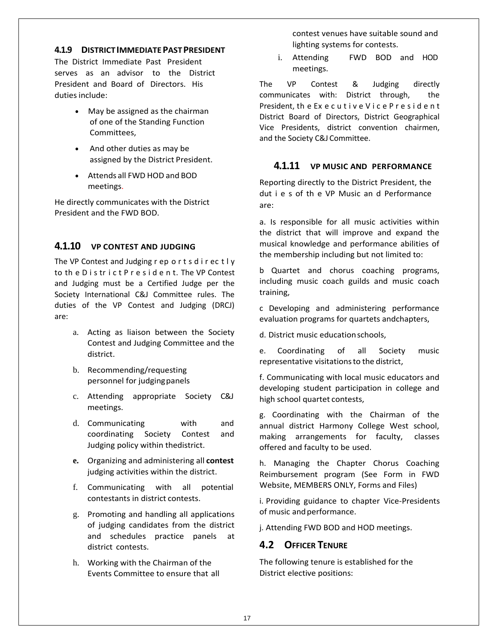#### **4.1.9 DISTRICTIMMEDIATEPASTPRESIDENT**

The District Immediate Past President serves as an advisor to the District President and Board of Directors. His duties include:

- May be assigned as the chairman of one of the Standing Function Committees,
- And other duties as may be assigned by the District President.
- Attends all FWD HOD and BOD meetings.

He directly communicates with the District President and the FWD BOD.

### **4.1.10 VP CONTEST AND JUDGING**

The VP Contest and Judging r ep o r t s d i r ec t l y to th e D i s tr i c t P r e s i d e n t. The VP Contest and Judging must be a Certified Judge per the Society International C&J Committee rules. The duties of the VP Contest and Judging (DRCJ) are:

- a. Acting as liaison between the Society Contest and Judging Committee and the district.
- b. Recommending/requesting personnel for judgingpanels
- c. Attending appropriate Society C&J meetings.
- d. Communicating with and coordinating Society Contest and Judging policy within thedistrict.
- **e.** Organizing and administering all **contest** judging activities within the district.
- f. Communicating with all potential contestants in district contests.
- g. Promoting and handling all applications of judging candidates from the district and schedules practice panels at district contests.
- h. Working with the Chairman of the Events Committee to ensure that all

contest venues have suitable sound and lighting systems for contests.

i. Attending FWD BOD and HOD meetings.

The VP Contest & Judging directly communicates with: District through, the President, th e Ex e c u t i v e V i c e P r e s i d e n t District Board of Directors, District Geographical Vice Presidents, district convention chairmen, and the Society C&J Committee.

### **4.1.11 VP MUSIC AND PERFORMANCE**

Reporting directly to the District President, the dut i e s of th e VP Music an d Performance are:

a. Is responsible for all music activities within the district that will improve and expand the musical knowledge and performance abilities of the membership including but not limited to:

b Quartet and chorus coaching programs, including music coach guilds and music coach training,

c Developing and administering performance evaluation programs for quartets andchapters,

d. District music educationschools,

e. Coordinating of all Society music representative visitations to the district,

f. Communicating with local music educators and developing student participation in college and high school quartet contests,

g. Coordinating with the Chairman of the annual district Harmony College West school, making arrangements for faculty, classes offered and faculty to be used.

h. Managing the Chapter Chorus Coaching Reimbursement program (See Form in FWD Website, MEMBERS ONLY, Forms and Files)

i. Providing guidance to chapter Vice-Presidents of music and performance.

j. Attending FWD BOD and HOD meetings.

## **4.2 OFFICER TENURE**

The following tenure is established for the District elective positions: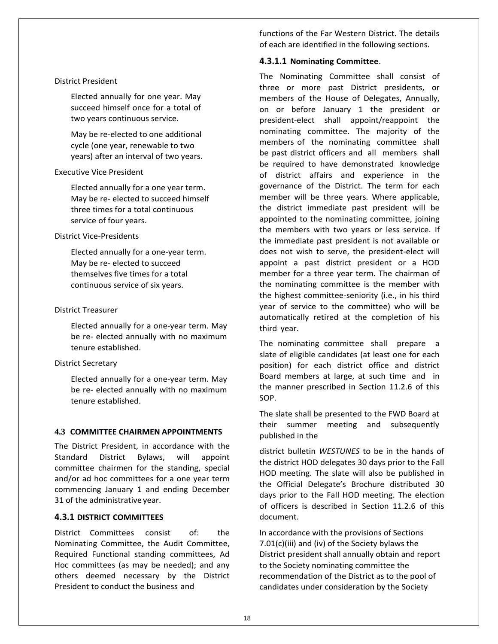#### District President

Elected annually for one year. May succeed himself once for a total of two years continuous service.

May be re-elected to one additional cycle (one year, renewable to two years) after an interval of two years.

#### Executive Vice President

Elected annually for a one year term. May be re- elected to succeed himself three times for a total continuous service of four years.

#### District Vice-Presidents

Elected annually for a one-year term. May be re- elected to succeed themselves five times for a total continuous service of six years.

#### District Treasurer

Elected annually for a one-year term. May be re- elected annually with no maximum tenure established.

#### District Secretary

Elected annually for a one-year term. May be re- elected annually with no maximum tenure established.

#### **4.3 COMMITTEE CHAIRMEN APPOINTMENTS**

The District President, in accordance with the Standard District Bylaws, will appoint committee chairmen for the standing, special and/or ad hoc committees for a one year term commencing January 1 and ending December 31 of the administrative year.

#### **4.3.1 DISTRICT COMMITTEES**

District Committees consist of: the Nominating Committee, the Audit Committee, Required Functional standing committees, Ad Hoc committees (as may be needed); and any others deemed necessary by the District President to conduct the business and

functions of the Far Western District. The details of each are identified in the following sections.

#### **4.3.1.1 Nominating Committee**.

The Nominating Committee shall consist of three or more past District presidents, or members of the House of Delegates, Annually, on or before January 1 the president or president-elect shall appoint/reappoint the nominating committee. The majority of the members of the nominating committee shall be past district officers and all members shall be required to have demonstrated knowledge of district affairs and experience in the governance of the District. The term for each member will be three years. Where applicable, the district immediate past president will be appointed to the nominating committee, joining the members with two years or less service. If the immediate past president is not available or does not wish to serve, the president-elect will appoint a past district president or a HOD member for a three year term. The chairman of the nominating committee is the member with the highest committee-seniority (i.e., in his third year of service to the committee) who will be automatically retired at the completion of his third year.

The nominating committee shall prepare a slate of eligible candidates (at least one for each position) for each district office and district Board members at large, at such time and in the manner prescribed in Section 11.2.6 of this SOP.

The slate shall be presented to the FWD Board at their summer meeting and subsequently published in the

district bulletin *WESTUNES* to be in the hands of the district HOD delegates 30 days prior to the Fall HOD meeting. The slate will also be published in the Official Delegate's Brochure distributed 30 days prior to the Fall HOD meeting. The election of officers is described in Section 11.2.6 of this document.

In accordance with the provisions of Sections 7.01(c)(iii) and (iv) of the Society bylaws the District president shall annually obtain and report to the Society nominating committee the recommendation of the District as to the pool of candidates under consideration by the Society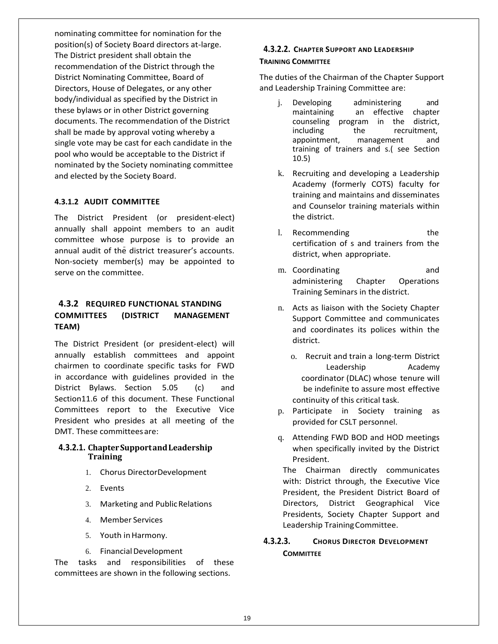nominating committee for nomination for the position(s) of Society Board directors at-large. The District president shall obtain the recommendation of the District through the District Nominating Committee, Board of Directors, House of Delegates, or any other body/individual as specified by the District in these bylaws or in other District governing documents. The recommendation of the District shall be made by approval voting whereby a single vote may be cast for each candidate in the pool who would be acceptable to the District if nominated by the Society nominating committee and elected by the Society Board.

#### **4.3.1.2 AUDIT COMMITTEE**

The District President (or president-elect) annually shall appoint members to an audit committee whose purpose is to provide an annual audit of the district treasurer's accounts. Non-society member(s) may be appointed to serve on the committee.

### **4.3.2 REQUIRED FUNCTIONAL STANDING COMMITTEES (DISTRICT MANAGEMENT TEAM)**

The District President (or president-elect) will annually establish committees and appoint chairmen to coordinate specific tasks for FWD in accordance with guidelines provided in the District Bylaws. Section 5.05 (c) and Section11.6 of this document. These Functional Committees report to the Executive Vice President who presides at all meeting of the DMT. These committeesare:

#### **4.3.2.1. ChapterSupportandLeadership Training**

- 1. Chorus DirectorDevelopment
- 2. Events
- 3. Marketing and PublicRelations
- 4. Member Services
- 5. Youth in Harmony.
- 6. FinancialDevelopment

The tasks and responsibilities of these committees are shown in the following sections.

#### **4.3.2.2. CHAPTER SUPPORT AND LEADERSHIP TRAINING COMMITTEE**

The duties of the Chairman of the Chapter Support and Leadership Training Committee are:

- j. Developing administering and maintaining an effective chapter counseling program in the district, including the recruitment, appointment, management and training of trainers and s.( see Section 10.5)
- k. Recruiting and developing a Leadership Academy (formerly COTS) faculty for training and maintains and disseminates and Counselor training materials within the district.
- l. Recommending the the certification of s and trainers from the district, when appropriate.
- m. Coordinating and administering Chapter Operations Training Seminars in the district.
- n. Acts as liaison with the Society Chapter Support Committee and communicates and coordinates its polices within the district.
	- o. Recruit and train a long-term District Leadership Academy coordinator (DLAC) whose tenure will be indefinite to assure most effective continuity of this critical task.
- p. Participate in Society training as provided for CSLT personnel.
- q. Attending FWD BOD and HOD meetings when specifically invited by the District President.

The Chairman directly communicates with: District through, the Executive Vice President, the President District Board of Directors, District Geographical Vice Presidents, Society Chapter Support and Leadership TrainingCommittee.

### **4.3.2.3. CHORUS DIRECTOR DEVELOPMENT COMMITTEE**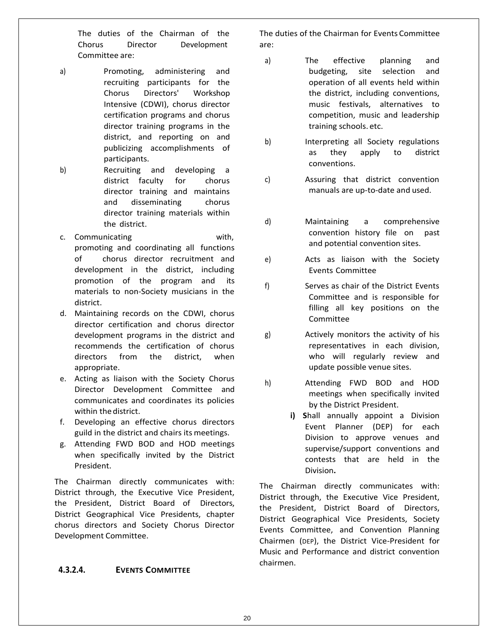The duties of the Chairman of the Chorus Director Development Committee are:

- a) Promoting, administering and recruiting participants for the Chorus Directors' Workshop Intensive (CDWI), chorus director certification programs and chorus director training programs in the district, and reporting on and publicizing accomplishments of participants.
- b) Recruiting and developing a district faculty for chorus director training and maintains and disseminating chorus director training materials within the district.
- c. Communicating with, promoting and coordinating all functions of chorus director recruitment and development in the district, including promotion of the program and its materials to non-Society musicians in the district.
- d. Maintaining records on the CDWI, chorus director certification and chorus director development programs in the district and recommends the certification of chorus directors from the district, when appropriate.
- e. Acting as liaison with the Society Chorus Director Development Committee and communicates and coordinates its policies within the district.
- f. Developing an effective chorus directors guild in the district and chairs its meetings.
- g. Attending FWD BOD and HOD meetings when specifically invited by the District President.

The Chairman directly communicates with: District through, the Executive Vice President, the President, District Board of Directors, District Geographical Vice Presidents, chapter chorus directors and Society Chorus Director Development Committee.

### **4.3.2.4. EVENTS COMMITTEE**

The duties of the Chairman for Events Committee are:

- a) The effective planning and budgeting, site selection and operation of all events held within the district, including conventions, music festivals, alternatives to competition, music and leadership training schools. etc.
- b) Interpreting all Society regulations as they apply to district conventions.
- c) Assuring that district convention manuals are up-to-date and used.
- d) Maintaining a comprehensive convention history file on past and potential convention sites.
- e) Acts as liaison with the Society Events Committee
- f) Serves as chair of the District Events Committee and is responsible for filling all key positions on the Committee
- g) Actively monitors the activity of his representatives in each division, who will regularly review and update possible venue sites.
- h) Attending FWD BOD and HOD meetings when specifically invited by the District President.
	- **i) S**hall annually appoint a Division Event Planner (DEP) for each Division to approve venues and supervise/support conventions and contests that are held in the Division**.**

The Chairman directly communicates with: District through, the Executive Vice President, the President, District Board of Directors, District Geographical Vice Presidents, Society Events Committee, and Convention Planning Chairmen (DEP), the District Vice-President for Music and Performance and district convention chairmen.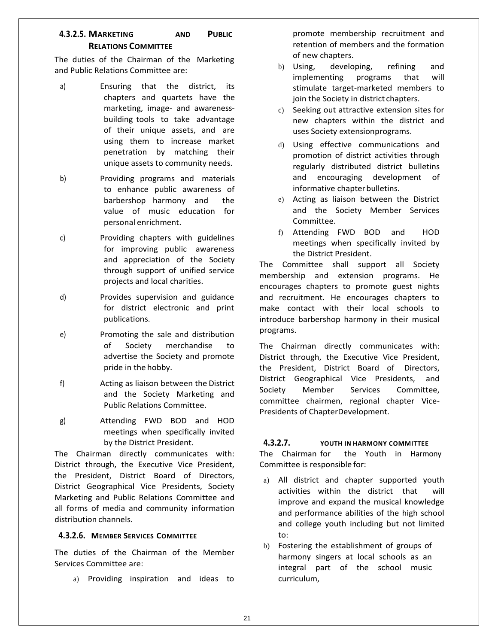# **4.3.2.5. MARKETING AND PUBLIC RELATIONS COMMITTEE**

The duties of the Chairman of the Marketing and Public Relations Committee are:

- a) Ensuring that the district, its chapters and quartets have the marketing, image- and awarenessbuilding tools to take advantage of their unique assets, and are using them to increase market penetration by matching their unique assets to community needs.
- b) Providing programs and materials to enhance public awareness of barbershop harmony and the value of music education for personal enrichment.
- c) Providing chapters with guidelines for improving public awareness and appreciation of the Society through support of unified service projects and local charities.
- d) Provides supervision and guidance for district electronic and print publications.
- e) Promoting the sale and distribution of Society merchandise to advertise the Society and promote pride in the hobby.
- f) Acting as liaison between the District and the Society Marketing and Public Relations Committee.
- g) Attending FWD BOD and HOD meetings when specifically invited by the District President.

The Chairman directly communicates with: District through, the Executive Vice President, the President, District Board of Directors, District Geographical Vice Presidents, Society Marketing and Public Relations Committee and all forms of media and community information distribution channels.

#### **4.3.2.6. MEMBER SERVICES COMMITTEE**

The duties of the Chairman of the Member Services Committee are:

a) Providing inspiration and ideas to

promote membership recruitment and retention of members and the formation of new chapters.

- b) Using, developing, refining and implementing programs that will stimulate target-marketed members to join the Society in district chapters.
- c) Seeking out attractive extension sites for new chapters within the district and uses Society extensionprograms.
- d) Using effective communications and promotion of district activities through regularly distributed district bulletins and encouraging development of informative chapter bulletins.
- e) Acting as liaison between the District and the Society Member Services Committee.
- f) Attending FWD BOD and HOD meetings when specifically invited by the District President.

The Committee shall support all Society membership and extension programs. He encourages chapters to promote guest nights and recruitment. He encourages chapters to make contact with their local schools to introduce barbershop harmony in their musical programs.

The Chairman directly communicates with: District through, the Executive Vice President, the President, District Board of Directors, District Geographical Vice Presidents, and Society Member Services Committee, committee chairmen, regional chapter Vice-Presidents of ChapterDevelopment.

### **4.3.2.7. YOUTH IN HARMONY COMMITTEE**

The Chairman for the Youth in Harmony Committee is responsible for:

- a) All district and chapter supported youth activities within the district that will improve and expand the musical knowledge and performance abilities of the high school and college youth including but not limited to:
- b) Fostering the establishment of groups of harmony singers at local schools as an integral part of the school music curriculum,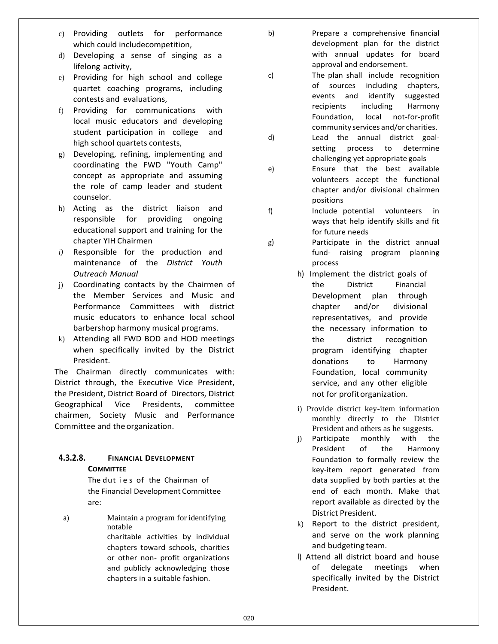- c) Providing outlets for performance which could includecompetition,
- d) Developing a sense of singing as a lifelong activity,
- e) Providing for high school and college quartet coaching programs, including contests and evaluations,
- f) Providing for communications with local music educators and developing student participation in college and high school quartets contests,
- g) Developing, refining, implementing and coordinating the FWD "Youth Camp" concept as appropriate and assuming the role of camp leader and student counselor.
- h) Acting as the district liaison and responsible for providing ongoing educational support and training for the chapter YIH Chairmen
- *i)* Responsible for the production and maintenance of the *District Youth Outreach Manual*
- j) Coordinating contacts by the Chairmen of the Member Services and Music and Performance Committees with district music educators to enhance local school barbershop harmony musical programs.
- k) Attending all FWD BOD and HOD meetings when specifically invited by the District President.

The Chairman directly communicates with: District through, the Executive Vice President, the President, District Board of Directors, District Geographical Vice Presidents, committee chairmen, Society Music and Performance Committee and the organization.

### **4.3.2.8. FINANCIAL DEVELOPMENT COMMITTEE**

The dut ies of the Chairman of the Financial Development Committee are:

a) Maintain a program for identifying notable charitable activities by individual chapters toward schools, charities or other non- profit organizations and publicly acknowledging those chapters in a suitable fashion.

b) Prepare a comprehensive financial development plan for the district with annual updates for board approval and endorsement.

c) The plan shall include recognition of sources including chapters, events and identify suggested recipients including Harmony Foundation, local not-for-profit community services and/or charities.

- d) Lead the annual district goalsetting process to determine challenging yet appropriate goals
- e) Ensure that the best available volunteers accept the functional chapter and/or divisional chairmen positions
- f) Include potential volunteers in ways that help identify skills and fit for future needs
- g) Participate in the district annual fund- raising program planning process
	- h) Implement the district goals of the District Financial Development plan through chapter and/or divisional representatives, and provide the necessary information to the district recognition program identifying chapter donations to Harmony Foundation, local community service, and any other eligible not for profitorganization.
	- i) Provide district key-item information monthly directly to the District President and others as he suggests.
	- j) Participate monthly with the President of the Harmony Foundation to formally review the key-item report generated from data supplied by both parties at the end of each month. Make that report available as directed by the District President.
	- k) Report to the district president, and serve on the work planning and budgeting team.
	- l) Attend all district board and house of delegate meetings when specifically invited by the District President.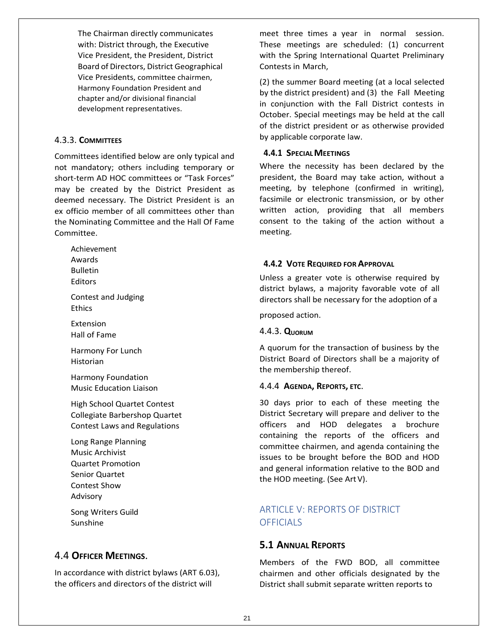The Chairman directly communicates with: District through, the Executive Vice President, the President, District Board of Directors, District Geographical Vice Presidents, committee chairmen, Harmony Foundation President and chapter and/or divisional financial development representatives.

### 4.3.3. **COMMITTEES**

Committees identified below are only typical and not mandatory; others including temporary or short-term AD HOC committees or "Task Forces" may be created by the District President as deemed necessary. The District President is an ex officio member of all committees other than the Nominating Committee and the Hall Of Fame Committee.

Achievement Awards Bulletin

Editors

Contest and Judging Ethics

Extension Hall of Fame

Harmony For Lunch Historian

Harmony Foundation Music Education Liaison

High School Quartet Contest Collegiate Barbershop Quartet Contest Laws and Regulations

Long Range Planning Music Archivist Quartet Promotion Senior Quartet Contest Show Advisory

Song Writers Guild Sunshine

# 4.4 **OFFICER MEETINGS**.

In accordance with district bylaws (ART 6.03), the officers and directors of the district will

meet three times a year in normal session. These meetings are scheduled: (1) concurrent with the Spring International Quartet Preliminary Contests in March,

(2) the summer Board meeting (at a local selected by the district president) and (3) the Fall Meeting in conjunction with the Fall District contests in October. Special meetings may be held at the call of the district president or as otherwise provided by applicable corporate law.

#### **4.4.1 SPECIALMEETINGS**

Where the necessity has been declared by the president, the Board may take action, without a meeting, by telephone (confirmed in writing), facsimile or electronic transmission, or by other written action, providing that all members consent to the taking of the action without a meeting.

### **4.4.2 VOTE REQUIRED FOR APPROVAL**

Unless a greater vote is otherwise required by district bylaws, a majority favorable vote of all directors shall be necessary for the adoption of a

proposed action.

#### 4.4.3. **QUORUM**

A quorum for the transaction of business by the District Board of Directors shall be a majority of the membership thereof.

#### 4.4.4 **AGENDA, REPORTS, ETC**.

30 days prior to each of these meeting the District Secretary will prepare and deliver to the officers and HOD delegates a brochure containing the reports of the officers and committee chairmen, and agenda containing the issues to be brought before the BOD and HOD and general information relative to the BOD and the HOD meeting. (See ArtV).

# ARTICLE V: REPORTS OF DISTRICT **OFFICIALS**

# **5.1 ANNUAL REPORTS**

Members of the FWD BOD, all committee chairmen and other officials designated by the District shall submit separate written reports to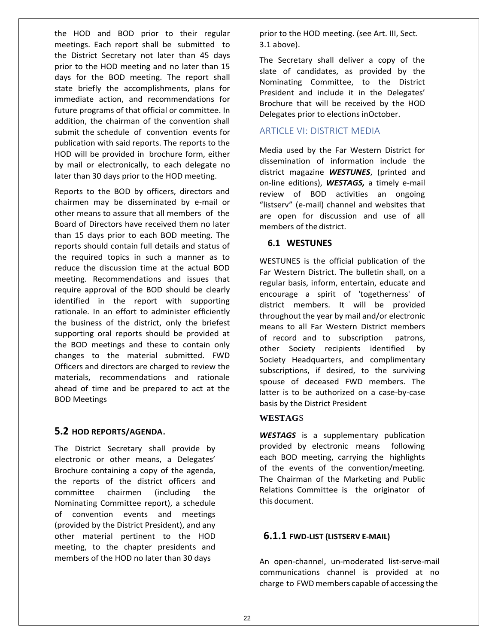the HOD and BOD prior to their regular meetings. Each report shall be submitted to the District Secretary not later than 45 days prior to the HOD meeting and no later than 15 days for the BOD meeting. The report shall state briefly the accomplishments, plans for immediate action, and recommendations for future programs of that official or committee. In addition, the chairman of the convention shall submit the schedule of convention events for publication with said reports. The reports to the HOD will be provided in brochure form, either by mail or electronically, to each delegate no later than 30 days prior to the HOD meeting.

Reports to the BOD by officers, directors and chairmen may be disseminated by e-mail or other means to assure that all members of the Board of Directors have received them no later than 15 days prior to each BOD meeting. The reports should contain full details and status of the required topics in such a manner as to reduce the discussion time at the actual BOD meeting. Recommendations and issues that require approval of the BOD should be clearly identified in the report with supporting rationale. In an effort to administer efficiently the business of the district, only the briefest supporting oral reports should be provided at the BOD meetings and these to contain only changes to the material submitted. FWD Officers and directors are charged to review the materials, recommendations and rationale ahead of time and be prepared to act at the BOD Meetings

### **5.2 HOD REPORTS/AGENDA**.

The District Secretary shall provide by electronic or other means, a Delegates' Brochure containing a copy of the agenda, the reports of the district officers and committee chairmen (including the Nominating Committee report), a schedule of convention events and meetings (provided by the District President), and any other material pertinent to the HOD meeting, to the chapter presidents and members of the HOD no later than 30 days

prior to the HOD meeting. (see Art. III, Sect. 3.1 above).

The Secretary shall deliver a copy of the slate of candidates, as provided by the Nominating Committee, to the District President and include it in the Delegates' Brochure that will be received by the HOD Delegates prior to elections inOctober.

### ARTICLE VI: DISTRICT MEDIA

Media used by the Far Western District for dissemination of information include the district magazine *WESTUNES*, (printed and on-line editions), *WESTAGS,* a timely e-mail review of BOD activities an ongoing "listserv" (e-mail) channel and websites that are open for discussion and use of all members of the district.

#### **6.1 WESTUNES**

WESTUNES is the official publication of the Far Western District. The bulletin shall, on a regular basis, inform, entertain, educate and encourage a spirit of 'togetherness' of district members. It will be provided throughout the year by mail and/or electronic means to all Far Western District members of record and to subscription patrons, other Society recipients identified by Society Headquarters, and complimentary subscriptions, if desired, to the surviving spouse of deceased FWD members. The latter is to be authorized on a case-by-case basis by the District President

### **WESTAG**S

*WESTAGS* is a supplementary publication provided by electronic means following each BOD meeting, carrying the highlights of the events of the convention/meeting. The Chairman of the Marketing and Public Relations Committee is the originator of this document.

## **6.1.1 FWD-LIST (LISTSERV E-MAIL)**

An open-channel, un-moderated list-serve-mail communications channel is provided at no charge to FWDmembers capable of accessing the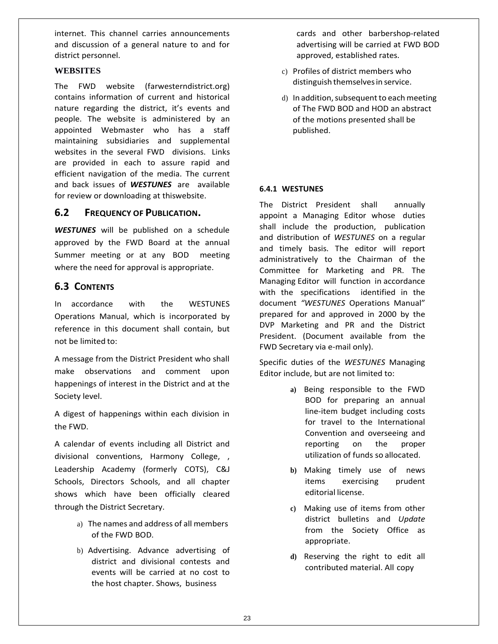internet. This channel carries announcements and discussion of a general nature to and for district personnel.

#### **WEBSITES**

The FWD website (farwesterndistrict.org) contains information of current and historical nature regarding the district, it's events and people. The website is administered by an appointed Webmaster who has a staff maintaining subsidiaries and supplemental websites in the several FWD divisions. Links are provided in each to assure rapid and efficient navigation of the media. The current and back issues of *WESTUNES* are available for review or downloading at thiswebsite.

### **6.2 FREQUENCY OF PUBLICATION.**

*WESTUNES* will be published on a schedule approved by the FWD Board at the annual Summer meeting or at any BOD meeting where the need for approval is appropriate.

# **6.3 CONTENTS**

In accordance with the WESTUNES Operations Manual, which is incorporated by reference in this document shall contain, but not be limited to:

A message from the District President who shall make observations and comment upon happenings of interest in the District and at the Society level.

A digest of happenings within each division in the FWD.

A calendar of events including all District and divisional conventions, Harmony College, , Leadership Academy (formerly COTS), C&J Schools, Directors Schools, and all chapter shows which have been officially cleared through the District Secretary.

- a) The names and address of all members of the FWD BOD.
- b) Advertising. Advance advertising of district and divisional contests and events will be carried at no cost to the host chapter. Shows, business

cards and other barbershop-related advertising will be carried at FWD BOD approved, established rates.

- c) Profiles of district members who distinguish themselves in service.
- d) In addition, subsequent to each meeting of The FWD BOD and HOD an abstract of the motions presented shall be published.

### **6.4.1 WESTUNES**

The District President shall annually appoint a Managing Editor whose duties shall include the production, publication and distribution of *WESTUNES* on a regular and timely basis. The editor will report administratively to the Chairman of the Committee for Marketing and PR. The Managing Editor will function in accordance with the specifications identified in the document *"WESTUNES* Operations Manual" prepared for and approved in 2000 by the DVP Marketing and PR and the District President. (Document available from the FWD Secretary via e-mail only).

Specific duties of the *WESTUNES* Managing Editor include, but are not limited to:

- **a)** Being responsible to the FWD BOD for preparing an annual line-item budget including costs for travel to the International Convention and overseeing and reporting on the proper utilization of funds so allocated.
- **b)** Making timely use of news items exercising prudent editorial license.
- **c)** Making use of items from other district bulletins and *Update*  from the Society Office as appropriate.
- **d)** Reserving the right to edit all contributed material. All copy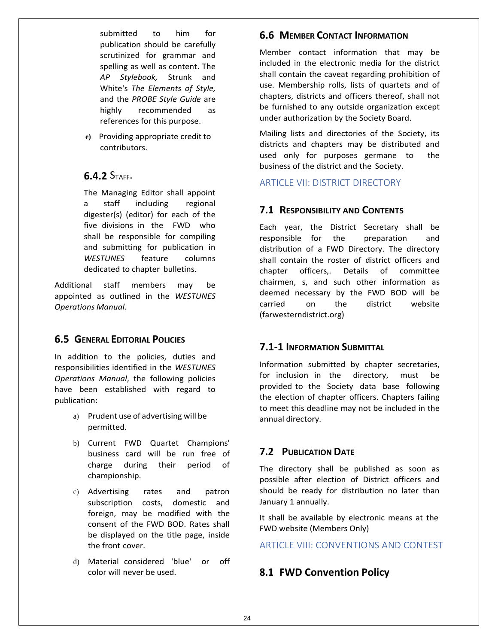submitted to him for publication should be carefully scrutinized for grammar and spelling as well as content. The *AP Stylebook,* Strunk and White's *The Elements of Style,*  and the *PROBE Style Guide* are highly recommended as references for this purpose.

**e)** Providing appropriate credit to contributors.

# **6.4.2** STAFF.

The Managing Editor shall appoint a staff including regional digester(s) (editor) for each of the five divisions in the FWD who shall be responsible for compiling and submitting for publication in *WESTUNES* feature columns dedicated to chapter bulletins.

Additional staff members may be appointed as outlined in the *WESTUNES Operations Manual.*

## **6.5 GENERAL EDITORIAL POLICIES**

In addition to the policies, duties and responsibilities identified in the *WESTUNES Operations Manual*, the following policies have been established with regard to publication:

- a) Prudent use of advertising will be permitted.
- b) Current FWD Quartet Champions' business card will be run free of charge during their period of championship.
- c) Advertising rates and patron subscription costs, domestic and foreign, may be modified with the consent of the FWD BOD. Rates shall be displayed on the title page, inside the front cover.
- d) Material considered 'blue' or off color will never be used.

# **6.6 MEMBER CONTACT INFORMATION**

Member contact information that may be included in the electronic media for the district shall contain the caveat regarding prohibition of use. Membership rolls, lists of quartets and of chapters, districts and officers thereof, shall not be furnished to any outside organization except under authorization by the Society Board.

Mailing lists and directories of the Society, its districts and chapters may be distributed and used only for purposes germane to the business of the district and the Society.

ARTICLE VII: DISTRICT DIRECTORY

# **7.1 RESPONSIBILITY AND CONTENTS**

Each year, the District Secretary shall be responsible for the preparation and distribution of a FWD Directory. The directory shall contain the roster of district officers and chapter officers,. Details of committee chairmen, s, and such other information as deemed necessary by the FWD BOD will be carried on the district website (farwesterndistrict.org)

## **7.1-1 INFORMATION SUBMITTAL**

Information submitted by chapter secretaries, for inclusion in the directory, must be provided to the Society data base following the election of chapter officers. Chapters failing to meet this deadline may not be included in the annual directory.

# **7.2 PUBLICATION DATE**

The directory shall be published as soon as possible after election of District officers and should be ready for distribution no later than January 1 annually.

It shall be available by electronic means at the FWD website (Members Only)

ARTICLE VIII: CONVENTIONS AND CONTEST

# **8.1 FWD Convention Policy**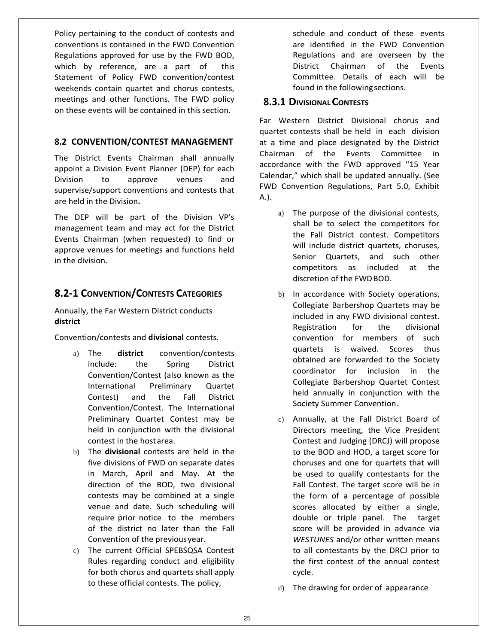Policy pertaining to the conduct of contests and conventions is contained in the FWD Convention Regulations approved for use by the FWD BOD, which by reference, are a part of this Statement of Policy FWD convention/contest weekends contain quartet and chorus contests, meetings and other functions. The FWD policy on these events will be contained in thissection.

### **8.2 CONVENTION/CONTEST MANAGEMENT**

The District Events Chairman shall annually appoint a Division Event Planner (DEP) for each Division to approve venues and supervise/support conventions and contests that are held in the Division**.**

The DEP will be part of the Division VP's management team and may act for the District Events Chairman (when requested) to find or approve venues for meetings and functions held in the division.

# **8.2-1 CONVENTION/CONTESTS CATEGORIES**

Annually, the Far Western District conducts **district**

Convention/contests and **divisional** contests.

- a) The **district** convention/contests include: the Spring District Convention/Contest (also known as the International Preliminary Quartet Contest) and the Fall District Convention/Contest. The International Preliminary Quartet Contest may be held in conjunction with the divisional contest in the hostarea.
- b) The **divisional** contests are held in the five divisions of FWD on separate dates in March, April and May. At the direction of the BOD, two divisional contests may be combined at a single venue and date. Such scheduling will require prior notice to the members of the district no later than the Fall Convention of the previousyear.
- c) The current Official SPEBSQSA Contest Rules regarding conduct and eligibility for both chorus and quartets shall apply to these official contests. The policy,

schedule and conduct of these events are identified in the FWD Convention Regulations and are overseen by the District Chairman of the Events Committee. Details of each will be found in the following sections.

### **8.3.1 DIVISIONALCONTESTS**

Far Western District Divisional chorus and quartet contests shall be held in each division at a time and place designated by the District Chairman of the Events Committee in accordance with the FWD approved "15 Year Calendar," which shall be updated annually. (See FWD Convention Regulations, Part 5.0, Exhibit A.).

- a) The purpose of the divisional contests, shall be to select the competitors for the Fall District contest. Competitors will include district quartets, choruses, Senior Quartets, and such other competitors as included at the discretion of the FWDBOD.
- b) In accordance with Society operations, Collegiate Barbershop Quartets may be included in any FWD divisional contest. Registration for the divisional convention for members of such quartets is waived. Scores thus obtained are forwarded to the Society coordinator for inclusion in the Collegiate Barbershop Quartet Contest held annually in conjunction with the Society Summer Convention.
- c) Annually, at the Fall District Board of Directors meeting, the Vice President Contest and Judging (DRCJ) will propose to the BOD and HOD, a target score for choruses and one for quartets that will be used to qualify contestants for the Fall Contest. The target score will be in the form of a percentage of possible scores allocated by either a single, double or triple panel. The target score will be provided in advance via *WESTUNES* and/or other written means to all contestants by the DRCJ prior to the first contest of the annual contest cycle.
- d) The drawing for order of appearance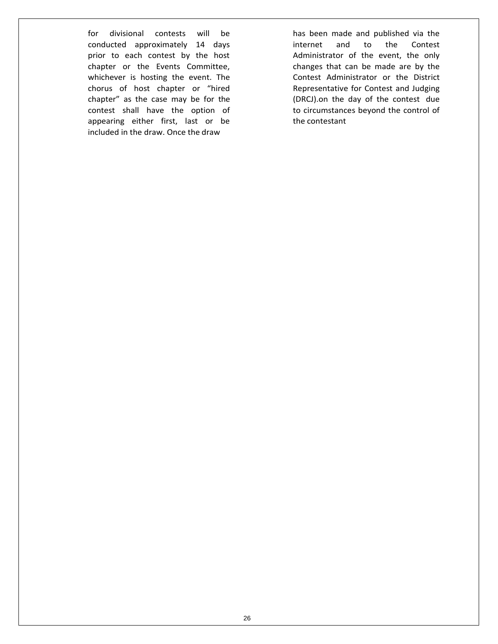for divisional contests will be conducted approximately 14 days prior to each contest by the host chapter or the Events Committee, whichever is hosting the event. The chorus of host chapter or "hired chapter" as the case may be for the contest shall have the option of appearing either first, last or be included in the draw. Once the draw

has been made and published via the internet and to the Contest Administrator of the event, the only changes that can be made are by the Contest Administrator or the District Representative for Contest and Judging (DRCJ).on the day of the contest due to circumstances beyond the control of the contestant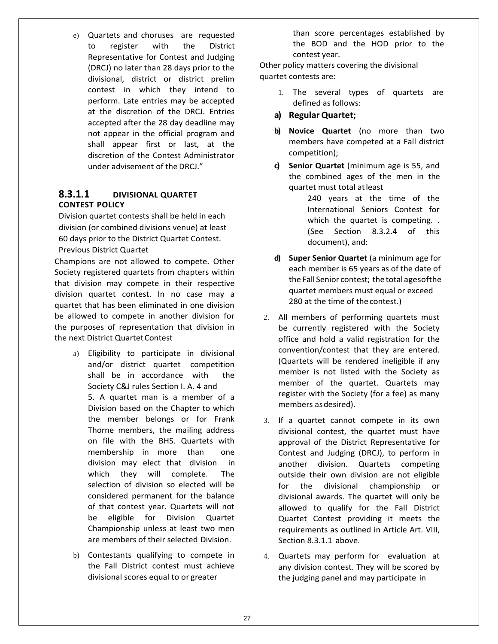e) Quartets and choruses are requested to register with the District Representative for Contest and Judging (DRCJ) no later than 28 days prior to the divisional, district or district prelim contest in which they intend to perform. Late entries may be accepted at the discretion of the DRCJ. Entries accepted after the 28 day deadline may not appear in the official program and shall appear first or last, at the discretion of the Contest Administrator under advisement of the DRCJ."

### **8.3.1.1 DIVISIONAL QUARTET CONTEST POLICY**

Division quartet contests shall be held in each division (or combined divisions venue) at least 60 days prior to the District Quartet Contest. Previous District Quartet

Champions are not allowed to compete. Other Society registered quartets from chapters within that division may compete in their respective division quartet contest. In no case may a quartet that has been eliminated in one division be allowed to compete in another division for the purposes of representation that division in the next District Quartet Contest

- a) Eligibility to participate in divisional and/or district quartet competition shall be in accordance with the Society C&J rules Section I. A. 4 and 5. A quartet man is a member of a Division based on the Chapter to which the member belongs or for Frank Thorne members, the mailing address on file with the BHS. Quartets with membership in more than one division may elect that division in which they will complete. The selection of division so elected will be considered permanent for the balance of that contest year. Quartets will not be eligible for Division Quartet Championship unless at least two men are members of their selected Division.
- b) Contestants qualifying to compete in the Fall District contest must achieve divisional scores equal to or greater

than score percentages established by the BOD and the HOD prior to the contest year.

Other policy matters covering the divisional quartet contests are:

- 1. The several types of quartets are defined as follows:
- **a) RegularQuartet;**
- **b) Novice Quartet** (no more than two members have competed at a Fall district competition);
- **c) Senior Quartet** (minimum age is 55, and the combined ages of the men in the quartet must total atleast
	- 240 years at the time of the International Seniors Contest for which the quartet is competing. . (See Section 8.3.2.4 of this document), and:
- **d) Super Senior Quartet** (a minimum age for each member is 65 years as of the date of the Fall Senior contest; the total agesofthe quartet members must equal or exceed 280 at the time of the contest.)
- 2. All members of performing quartets must be currently registered with the Society office and hold a valid registration for the convention/contest that they are entered. (Quartets will be rendered ineligible if any member is not listed with the Society as member of the quartet. Quartets may register with the Society (for a fee) as many members asdesired).
- 3. If a quartet cannot compete in its own divisional contest, the quartet must have approval of the District Representative for Contest and Judging (DRCJ), to perform in another division. Quartets competing outside their own division are not eligible for the divisional championship or divisional awards. The quartet will only be allowed to qualify for the Fall District Quartet Contest providing it meets the requirements as outlined in Article Art. VIII, Section 8.3.1.1 above.
- 4. Quartets may perform for evaluation at any division contest. They will be scored by the judging panel and may participate in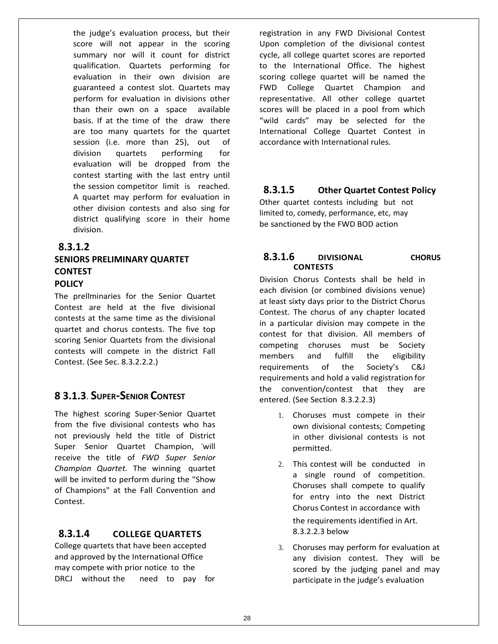the judge's evaluation process, but their score will not appear in the scoring summary nor will it count for district qualification. Quartets performing for evaluation in their own division are guaranteed a contest slot. Quartets may perform for evaluation in divisions other than their own on a space available basis. If at the time of the draw there are too many quartets for the quartet session (i.e. more than 25), out of division quartets performing for evaluation will be dropped from the contest starting with the last entry until the session competitor limit is reached. A quartet may perform for evaluation in other division contests and also sing for district qualifying score in their home division.

### **8.3.1.2**

# **SENIORS PRELIMINARY QUARTET CONTEST POLICY**

The preliminaries for the Senior Quartet Contest are held at the five divisional contests at the same time as the divisional quartet and chorus contests. The five top scoring Senior Quartets from the divisional contests will compete in the district Fall Contest. (See Sec. 8.3.2.2.2.)

# **8 3.1.3**. **SUPER-SENIOR CONTEST**

The highest scoring Super-Senior Quartet from the five divisional contests who has not previously held the title of District Super Senior Quartet Champion, will receive the title of *FWD Super Senior Champion Quartet.* The winning quartet will be invited to perform during the "Show of Champions" at the Fall Convention and Contest.

### **8.3.1.4 COLLEGE QUARTETS**

College quartets that have been accepted and approved by the International Office may compete with prior notice to the DRCJ without the need to pay for registration in any FWD Divisional Contest Upon completion of the divisional contest cycle, all college quartet scores are reported to the International Office. The highest scoring college quartet will be named the FWD College Quartet Champion and representative. All other college quartet scores will be placed in a pool from which "wild cards" may be selected for the International College Quartet Contest in accordance with International rules.

# **8.3.1.5 Other Quartet Contest Policy**

Other quartet contests including but not limited to, comedy, performance, etc, may be sanctioned by the FWD BOD action

### **8.3.1.6 DIVISIONAL CHORUS CONTESTS**

Division Chorus Contests shall be held in each division (or combined divisions venue) at least sixty days prior to the District Chorus Contest. The chorus of any chapter located in a particular division may compete in the contest for that division. All members of competing choruses must be Society members and fulfill the eligibility requirements of the Society's C&J requirements and hold a valid registration for the convention/contest that they are entered. (See Section 8.3.2.2.3)

- 1. Choruses must compete in their own divisional contests; Competing in other divisional contests is not permitted.
- 2. This contest will be conducted in a single round of competition. Choruses shall compete to qualify for entry into the next District Chorus Contest in accordance with the requirements identified in Art. 8.3.2.2.3 below
- 3. Choruses may perform for evaluation at any division contest. They will be scored by the judging panel and may participate in the judge's evaluation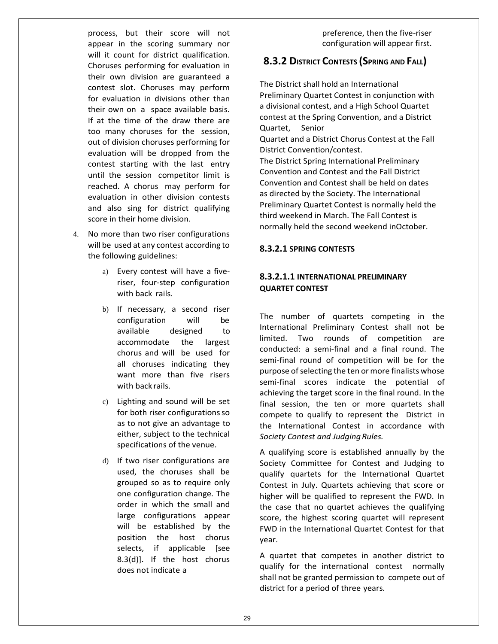process, but their score will not appear in the scoring summary nor will it count for district qualification. Choruses performing for evaluation in their own division are guaranteed a contest slot. Choruses may perform for evaluation in divisions other than their own on a space available basis. If at the time of the draw there are too many choruses for the session, out of division choruses performing for evaluation will be dropped from the contest starting with the last entry until the session competitor limit is reached. A chorus may perform for evaluation in other division contests and also sing for district qualifying score in their home division.

- 4. No more than two riser configurations will be used at any contest according to the following guidelines:
	- a) Every contest will have a fiveriser, four-step configuration with back rails.
	- b) If necessary, a second riser configuration will be available designed to accommodate the largest chorus and will be used for all choruses indicating they want more than five risers with back rails.
	- c) Lighting and sound will be set for both riser configurations so as to not give an advantage to either, subject to the technical specifications of the venue.
	- d) If two riser configurations are used, the choruses shall be grouped so as to require only one configuration change. The order in which the small and large configurations appear will be established by the position the host chorus selects, if applicable [see 8.3(d)]. If the host chorus does not indicate a

preference, then the five-riser configuration will appear first.

# **8.3.2 DISTRICT CONTESTS (SPRING AND FALL)**

The District shall hold an International Preliminary Quartet Contest in conjunction with a divisional contest, and a High School Quartet contest at the Spring Convention, and a District Quartet, Senior Quartet and a District Chorus Contest at the Fall

District Convention/contest.

The District Spring International Preliminary Convention and Contest and the Fall District Convention and Contest shall be held on dates as directed by the Society. The International Preliminary Quartet Contest is normally held the third weekend in March. The Fall Contest is normally held the second weekend inOctober.

#### **8.3.2.1 SPRING CONTESTS**

### **8.3.2.1.1 INTERNATIONAL PRELIMINARY QUARTET CONTEST**

The number of quartets competing in the International Preliminary Contest shall not be limited. Two rounds of competition are conducted: a semi-final and a final round. The semi-final round of competition will be for the purpose of selecting the ten or more finalists whose semi-final scores indicate the potential of achieving the target score in the final round. In the final session, the ten or more quartets shall compete to qualify to represent the District in the International Contest in accordance with **Society Contest and Judging Rules.** 

A qualifying score is established annually by the Society Committee for Contest and Judging to qualify quartets for the International Quartet Contest in July. Quartets achieving that score or higher will be qualified to represent the FWD. In the case that no quartet achieves the qualifying score, the highest scoring quartet will represent FWD in the International Quartet Contest for that year.

A quartet that competes in another district to qualify for the international contest normally shall not be granted permission to compete out of district for a period of three years.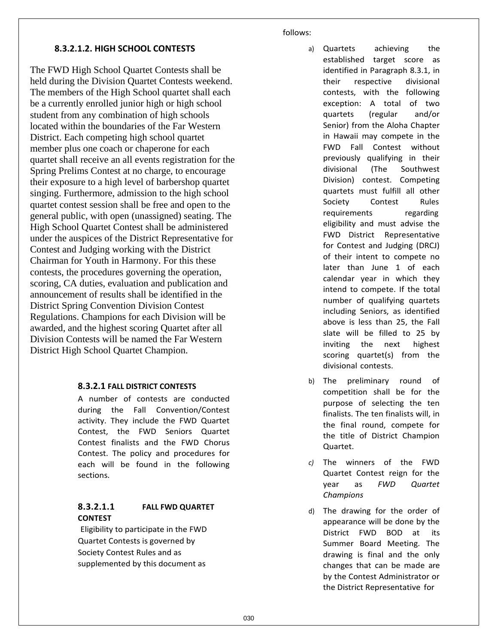#### follows:

### **8.3.2.1.2. HIGH SCHOOL CONTESTS**

The FWD High School Quartet Contests shall be held during the Division Quartet Contests weekend. The members of the High School quartet shall each be a currently enrolled junior high or high school student from any combination of high schools located within the boundaries of the Far Western District. Each competing high school quartet member plus one coach or chaperone for each quartet shall receive an all events registration for the Spring Prelims Contest at no charge, to encourage their exposure to a high level of barbershop quartet singing. Furthermore, admission to the high school quartet contest session shall be free and open to the general public, with open (unassigned) seating. The High School Quartet Contest shall be administered under the auspices of the District Representative for Contest and Judging working with the District Chairman for Youth in Harmony. For this these contests, the procedures governing the operation, scoring, CA duties, evaluation and publication and announcement of results shall be identified in the District Spring Convention Division Contest Regulations. Champions for each Division will be awarded, and the highest scoring Quartet after all Division Contests will be named the Far Western District High School Quartet Champion.

### **8.3.2.1 FALL DISTRICT CONTESTS**

A number of contests are conducted during the Fall Convention/Contest activity. They include the FWD Quartet Contest, the FWD Seniors Quartet Contest finalists and the FWD Chorus Contest. The policy and procedures for each will be found in the following sections.

## **8.3.2.1.1 FALL FWD QUARTET CONTEST**

Eligibility to participate in the FWD Quartet Contests is governed by Society Contest Rules and as supplemented by this document as

- a) Quartets achieving the established target score as identified in Paragraph 8.3.1, in their respective divisional contests, with the following exception: A total of two quartets (regular and/or Senior) from the Aloha Chapter in Hawaii may compete in the FWD Fall Contest without previously qualifying in their divisional (The Southwest Division) contest. Competing quartets must fulfill all other Society Contest Rules requirements regarding eligibility and must advise the FWD District Representative for Contest and Judging (DRCJ) of their intent to compete no later than June 1 of each calendar year in which they intend to compete. If the total number of qualifying quartets including Seniors, as identified above is less than 25, the Fall slate will be filled to 25 by inviting the next highest scoring quartet(s) from the divisional contests.
- b) The preliminary round of competition shall be for the purpose of selecting the ten finalists. The ten finalists will, in the final round, compete for the title of District Champion Quartet.
- *c)* The winners of the FWD Quartet Contest reign for the year as *FWD Quartet Champions*
- d) The drawing for the order of appearance will be done by the District FWD BOD at its Summer Board Meeting. The drawing is final and the only changes that can be made are by the Contest Administrator or the District Representative for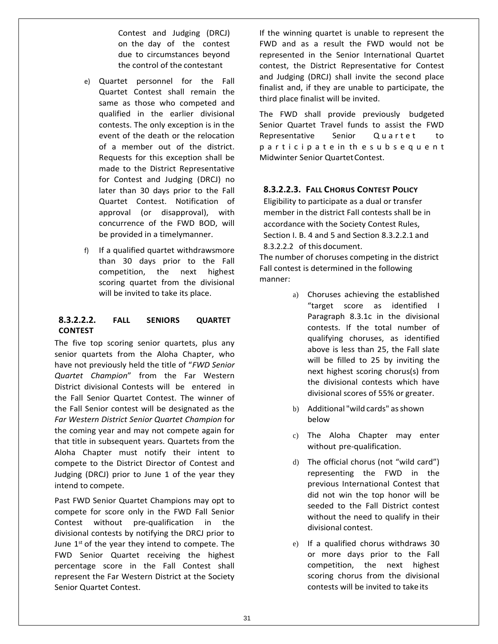Contest and Judging (DRCJ) on the day of the contest due to circumstances beyond the control of the contestant

- e) Quartet personnel for the Fall Quartet Contest shall remain the same as those who competed and qualified in the earlier divisional contests. The only exception is in the event of the death or the relocation of a member out of the district. Requests for this exception shall be made to the District Representative for Contest and Judging (DRCJ) no later than 30 days prior to the Fall Quartet Contest. Notification of approval (or disapproval), with concurrence of the FWD BOD, will be provided in a timelymanner.
- f) If a qualified quartet withdrawsmore than 30 days prior to the Fall competition, the next highest scoring quartet from the divisional will be invited to take its place.

#### **8.3.2.2.2. FALL SENIORS QUARTET CONTEST**

The five top scoring senior quartets, plus any senior quartets from the Aloha Chapter, who have not previously held the title of "*FWD Senior Quartet Champion*" from the Far Western District divisional Contests will be entered in the Fall Senior Quartet Contest. The winner of the Fall Senior contest will be designated as the *Far Western District Senior Quartet Champion* fo*r*  the coming year and may not compete again for that title in subsequent years. Quartets from the Aloha Chapter must notify their intent to compete to the District Director of Contest and Judging (DRCJ) prior to June 1 of the year they intend to compete.

Past FWD Senior Quartet Champions may opt to compete for score only in the FWD Fall Senior Contest without pre-qualification in the divisional contests by notifying the DRCJ prior to June  $1<sup>st</sup>$  of the year they intend to compete. The FWD Senior Quartet receiving the highest percentage score in the Fall Contest shall represent the Far Western District at the Society Senior Quartet Contest.

If the winning quartet is unable to represent the FWD and as a result the FWD would not be represented in the Senior International Quartet contest, the District Representative for Contest and Judging (DRCJ) shall invite the second place finalist and, if they are unable to participate, the third place finalist will be invited.

The FWD shall provide previously budgeted Senior Quartet Travel funds to assist the FWD Representative Senior Quartet to p a r t i c i p a t e in th e s u b s e q u e n t Midwinter Senior Quartet Contest.

### **8.3.2.2.3. FALL CHORUS CONTEST POLICY**

Eligibility to participate as a dual or transfer member in the district Fall contests shall be in accordance with the Society Contest Rules, Section I. B. 4 and 5 and Section 8.3.2.2.1 and 8.3.2.2.2 of this document. The number of choruses competing in the district

Fall contest is determined in the following manner:

- a) Choruses achieving the established "target score as identified I Paragraph 8.3.1c in the divisional contests. If the total number of qualifying choruses, as identified above is less than 25, the Fall slate will be filled to 25 by inviting the next highest scoring chorus(s) from the divisional contests which have divisional scores of 55% or greater.
- b) Additional "wild cards" asshown below
- c) The Aloha Chapter may enter without pre-qualification.
- d) The official chorus (not "wild card") representing the FWD in the previous International Contest that did not win the top honor will be seeded to the Fall District contest without the need to qualify in their divisional contest.
- e) If a qualified chorus withdraws 30 or more days prior to the Fall competition, the next highest scoring chorus from the divisional contests will be invited to take its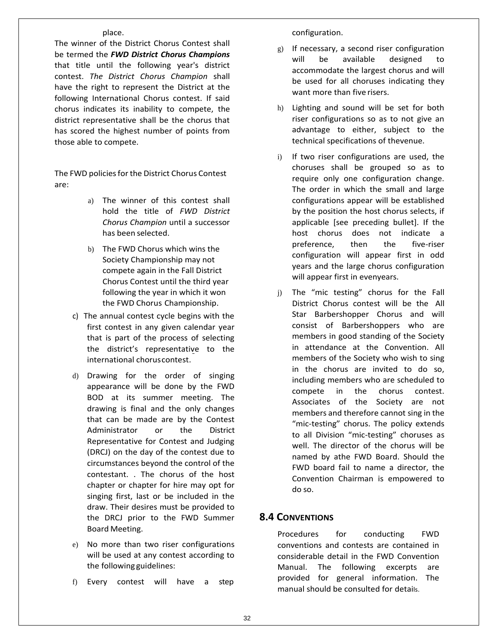#### place.

The winner of the District Chorus Contest shall be termed the *FWD District Chorus Champions*  that title until the following year's district contest. *The District Chorus Champion* shall have the right to represent the District at the following International Chorus contest. If said chorus indicates its inability to compete, the district representative shall be the chorus that has scored the highest number of points from those able to compete.

The FWD policies for the District Chorus Contest are:

- a) The winner of this contest shall hold the title of *FWD District Chorus Champion* until a successor has been selected.
- b) The FWD Chorus which wins the Society Championship may not compete again in the Fall District Chorus Contest until the third year following the year in which it won the FWD Chorus Championship.
- c) The annual contest cycle begins with the first contest in any given calendar year that is part of the process of selecting the district's representative to the international choruscontest.
- d) Drawing for the order of singing appearance will be done by the FWD BOD at its summer meeting. The drawing is final and the only changes that can be made are by the Contest Administrator or the District Representative for Contest and Judging (DRCJ) on the day of the contest due to circumstances beyond the control of the contestant. . The chorus of the host chapter or chapter for hire may opt for singing first, last or be included in the draw. Their desires must be provided to the DRCJ prior to the FWD Summer Board Meeting.
- e) No more than two riser configurations will be used at any contest according to the following guidelines:
- f) Every contest will have a step

configuration.

- g) If necessary, a second riser configuration will be available designed to accommodate the largest chorus and will be used for all choruses indicating they want more than five risers.
- h) Lighting and sound will be set for both riser configurations so as to not give an advantage to either, subject to the technical specifications of thevenue.
- i) If two riser configurations are used, the choruses shall be grouped so as to require only one configuration change. The order in which the small and large configurations appear will be established by the position the host chorus selects, if applicable [see preceding bullet]. If the host chorus does not indicate a preference, then the five-riser configuration will appear first in odd years and the large chorus configuration will appear first in evenyears.
- j) The "mic testing" chorus for the Fall District Chorus contest will be the All Star Barbershopper Chorus and will consist of Barbershoppers who are members in good standing of the Society in attendance at the Convention. All members of the Society who wish to sing in the chorus are invited to do so, including members who are scheduled to compete in the chorus contest. Associates of the Society are not members and therefore cannot sing in the "mic-testing" chorus. The policy extends to all Division "mic-testing" choruses as well. The director of the chorus will be named by athe FWD Board. Should the FWD board fail to name a director, the Convention Chairman is empowered to do so.

### **8.4 CONVENTIONS**

Procedures for conducting FWD conventions and contests are contained in considerable detail in the FWD Convention Manual. The following excerpts are provided for general information. The manual should be consulted for details.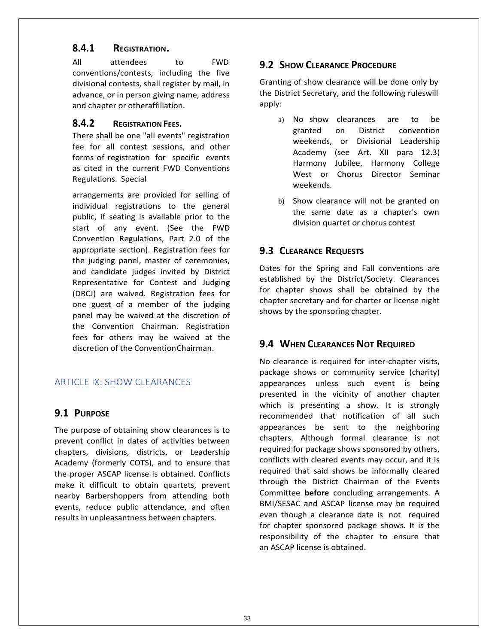# **8.4.1 REGISTRATION.**

All attendees to FWD conventions/contests, including the five divisional contests, shall register by mail, in advance, or in person giving name, address and chapter or otheraffiliation.

### **8.4.2 REGISTRATION FEES.**

There shall be one "all events" registration fee for all contest sessions, and other forms of registration for specific events as cited in the current FWD Conventions Regulations. Special

arrangements are provided for selling of individual registrations to the general public, if seating is available prior to the start of any event. (See the FWD Convention Regulations, Part 2.0 of the appropriate section). Registration fees for the judging panel, master of ceremonies, and candidate judges invited by District Representative for Contest and Judging (DRCJ) are waived. Registration fees for one guest of a member of the judging panel may be waived at the discretion of the Convention Chairman. Registration fees for others may be waived at the discretion of the ConventionChairman.

# ARTICLE IX: SHOW CLEARANCES

### **9.1 PURPOSE**

The purpose of obtaining show clearances is to prevent conflict in dates of activities between chapters, divisions, districts, or Leadership Academy (formerly COTS), and to ensure that the proper ASCAP license is obtained. Conflicts make it difficult to obtain quartets, prevent nearby Barbershoppers from attending both events, reduce public attendance, and often results in unpleasantness between chapters.

# **9.2 SHOW CLEARANCE PROCEDURE**

Granting of show clearance will be done only by the District Secretary, and the following ruleswill apply:

- a) No show clearances are to be granted on District convention weekends, or Divisional Leadership Academy (see Art. XII para 12.3) Harmony Jubilee, Harmony College West or Chorus Director Seminar weekends.
- b) Show clearance will not be granted on the same date as a chapter's own division quartet or chorus contest

# **9.3 CLEARANCE REQUESTS**

Dates for the Spring and Fall conventions are established by the District/Society. Clearances for chapter shows shall be obtained by the chapter secretary and for charter or license night shows by the sponsoring chapter.

# **9.4 WHEN CLEARANCES NOT REQUIRED**

No clearance is required for inter-chapter visits, package shows or community service (charity) appearances unless such event is being presented in the vicinity of another chapter which is presenting a show. It is strongly recommended that notification of all such appearances be sent to the neighboring chapters. Although formal clearance is not required for package shows sponsored by others, conflicts with cleared events may occur, and it is required that said shows be informally cleared through the District Chairman of the Events Committee **before** concluding arrangements. A BMI/SESAC and ASCAP license may be required even though a clearance date is not required for chapter sponsored package shows. It is the responsibility of the chapter to ensure that an ASCAP license is obtained.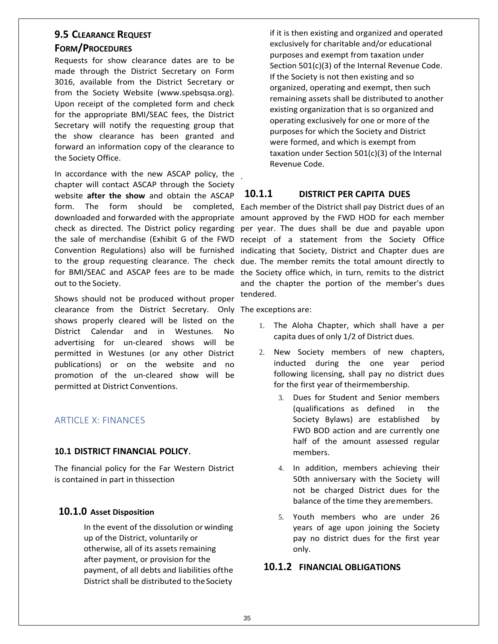### **9.5 CLEARANCE REQUEST**

### **FORM/PROCEDURES**

Requests for show clearance dates are to be made through the District Secretary on Form 3016, available from the District Secretary or from the Society Website (www.spebsqsa.org). Upon receipt of the completed form and check for the appropriate BMI/SEAC fees, the District Secretary will notify the requesting group that the show clearance has been granted and forward an information copy of the clearance to the Society Office.

In accordance with the new ASCAP policy, the . chapter will contact ASCAP through the Society website **after the show** and obtain the ASCAP out to the Society.

Shows should not be produced without proper clearance from the District Secretary. Only The exceptions are: shows properly cleared will be listed on the District Calendar and in Westunes. No advertising for un-cleared shows will be permitted in Westunes (or any other District publications) or on the website and no promotion of the un-cleared show will be permitted at District Conventions.

## ARTICLE X: FINANCES

#### **10.1 DISTRICT FINANCIAL POLICY**.

The financial policy for the Far Western District is contained in part in thissection

### **10.1.0 Asset Disposition**

In the event of the dissolution or winding up of the District, voluntarily or otherwise, all of its assets remaining after payment, or provision for the payment, of all debts and liabilities ofthe District shall be distributed to theSociety

if it is then existing and organized and operated exclusively for charitable and/or educational purposes and exempt from taxation under Section 501(c)(3) of the Internal Revenue Code. If the Society is not then existing and so organized, operating and exempt, then such remaining assets shall be distributed to another existing organization that is so organized and operating exclusively for one or more of the purposes for which the Society and District were formed, and which is exempt from taxation under Section 501(c)(3) of the Internal Revenue Code.

### **10.1.1 DISTRICT PER CAPITA DUES**

form. The form should be completed, Each member of the District shall pay District dues of an downloaded and forwarded with the appropriate amount approved by the FWD HOD for each member check as directed. The District policy regarding per year. The dues shall be due and payable upon the sale of merchandise (Exhibit G of the FWD receipt of a statement from the Society Office Convention Regulations) also will be furnished indicating that Society, District and Chapter dues are to the group requesting clearance. The check due. The member remits the total amount directly to for BMI/SEAC and ASCAP fees are to be made the Society office which, in turn, remits to the district and the chapter the portion of the member's dues tendered.

- 1. The Aloha Chapter, which shall have a per capita dues of only 1/2 of District dues.
- 2. New Society members of new chapters, inducted during the one year period following licensing, shall pay no district dues for the first year of theirmembership.
	- 3. Dues for Student and Senior members (qualifications as defined in the Society Bylaws) are established by FWD BOD action and are currently one half of the amount assessed regular members.
	- 4. In addition, members achieving their 50th anniversary with the Society will not be charged District dues for the balance of the time they aremembers.
	- 5. Youth members who are under 26 years of age upon joining the Society pay no district dues for the first year only.

### **10.1.2 FINANCIAL OBLIGATIONS**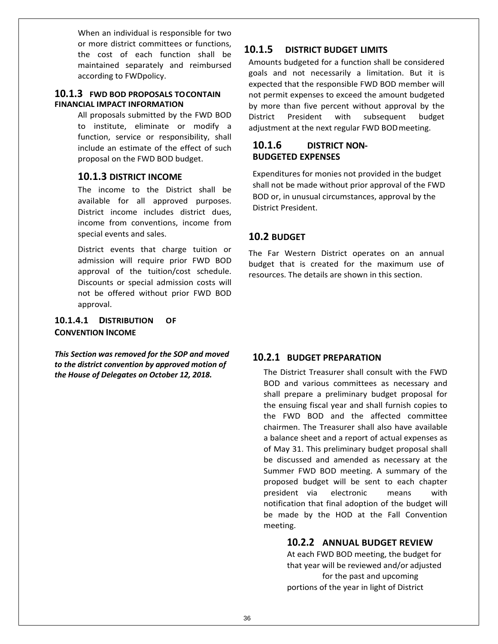When an individual is responsible for two or more district committees or functions, the cost of each function shall be maintained separately and reimbursed according to FWDpolicy.

### **10.1.3 FWD BOD PROPOSALS TOCONTAIN FINANCIAL IMPACT INFORMATION**

All proposals submitted by the FWD BOD to institute, eliminate or modify a function, service or responsibility, shall include an estimate of the effect of such proposal on the FWD BOD budget.

### **10.1.3 DISTRICT INCOME**

The income to the District shall be available for all approved purposes. District income includes district dues, income from conventions, income from special events and sales.

District events that charge tuition or admission will require prior FWD BOD approval of the tuition/cost schedule. Discounts or special admission costs will not be offered without prior FWD BOD approval.

#### **10.1.4.1 DISTRIBUTION OF CONVENTION INCOME**

*This Section was removed for the SOP and moved to the district convention by approved motion of the House of Delegates on October 12, 2018.*

# **10.1.5 DISTRICT BUDGET LIMITS**

Amounts budgeted for a function shall be considered goals and not necessarily a limitation. But it is expected that the responsible FWD BOD member will not permit expenses to exceed the amount budgeted by more than five percent without approval by the District President with subsequent budget adjustment at the next regular FWD BODmeeting.

### **10.1.6 DISTRICT NON-BUDGETED EXPENSES**

Expenditures for monies not provided in the budget shall not be made without prior approval of the FWD BOD or, in unusual circumstances, approval by the District President.

## **10.2 BUDGET**

The Far Western District operates on an annual budget that is created for the maximum use of resources. The details are shown in this section.

## **10.2.1 BUDGET PREPARATION**

The District Treasurer shall consult with the FWD BOD and various committees as necessary and shall prepare a preliminary budget proposal for the ensuing fiscal year and shall furnish copies to the FWD BOD and the affected committee chairmen. The Treasurer shall also have available a balance sheet and a report of actual expenses as of May 31. This preliminary budget proposal shall be discussed and amended as necessary at the Summer FWD BOD meeting. A summary of the proposed budget will be sent to each chapter president via electronic means with notification that final adoption of the budget will be made by the HOD at the Fall Convention meeting.

## **10.2.2 ANNUAL BUDGET REVIEW**

At each FWD BOD meeting, the budget for that year will be reviewed and/or adjusted for the past and upcoming portions of the year in light of District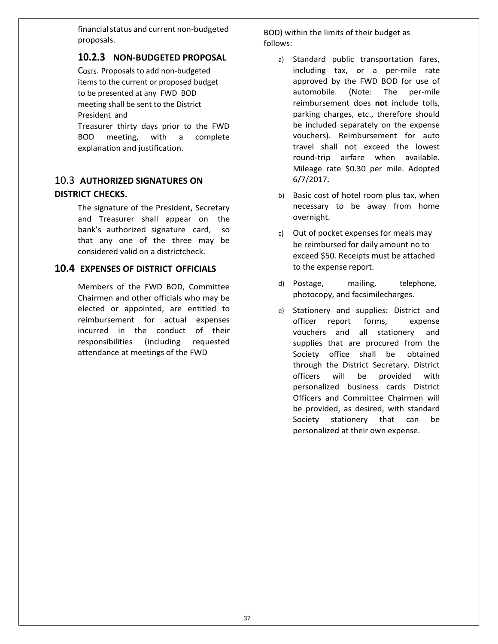financial status and current non-budgeted proposals.

## **10.2.3 NON-BUDGETED PROPOSAL**

C<sub>OSTS</sub>. Proposals to add non-budgeted items to the current or proposed budget to be presented at any FWD BOD meeting shall be sent to the District President and

Treasurer thirty days prior to the FWD BOD meeting, with a complete explanation and justification.

# 10.3 **AUTHORIZED SIGNATURES ON DISTRICT CHECKS**.

The signature of the President, Secretary and Treasurer shall appear on the bank's authorized signature card, so that any one of the three may be considered valid on a districtcheck.

## **10.4 EXPENSES OF DISTRICT OFFICIALS**

Members of the FWD BOD, Committee Chairmen and other officials who may be elected or appointed, are entitled to reimbursement for actual expenses incurred in the conduct of their responsibilities (including requested attendance at meetings of the FWD

BOD) within the limits of their budget as follows:

- a) Standard public transportation fares, including tax, or a per-mile rate approved by the FWD BOD for use of automobile. (Note: The per-mile reimbursement does **not** include tolls, parking charges, etc., therefore should be included separately on the expense vouchers). Reimbursement for auto travel shall not exceed the lowest round-trip airfare when available. Mileage rate \$0.30 per mile. Adopted 6/7/2017.
- b) Basic cost of hotel room plus tax, when necessary to be away from home overnight.
- c) Out of pocket expenses for meals may be reimbursed for daily amount no to exceed \$50. Receipts must be attached to the expense report.
- d) Postage, mailing, telephone, photocopy, and facsimilecharges.
- e) Stationery and supplies: District and officer report forms, expense vouchers and all stationery and supplies that are procured from the Society office shall be obtained through the District Secretary. District officers will be provided with personalized business cards District Officers and Committee Chairmen will be provided, as desired, with standard Society stationery that can be personalized at their own expense.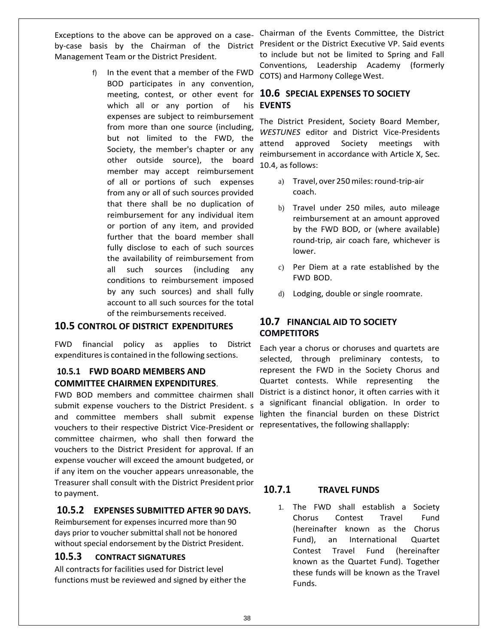by-case basis by the Chairman of the District Management Team or the District President.

> f) In the event that a member of the FWD BOD participates in any convention, which all or any portion of expenses are subject to reimbursement from more than one source (including, but not limited to the FWD, the Society, the member's chapter or any other outside source), the board member may accept reimbursement of all or portions of such expenses from any or all of such sources provided that there shall be no duplication of reimbursement for any individual item or portion of any item, and provided further that the board member shall fully disclose to each of such sources the availability of reimbursement from all such sources (including any conditions to reimbursement imposed by any such sources) and shall fully account to all such sources for the total of the reimbursements received.

#### **10.5 CONTROL OF DISTRICT EXPENDITURES**

FWD financial policy as applies to District expenditures is contained in the following sections.

### **10.5.1 FWD BOARD MEMBERS AND COMMITTEE CHAIRMEN EXPENDITURES**.

FWD BOD members and committee chairmen shall submit expense vouchers to the District President. s and committee members shall submit expense vouchers to their respective District Vice-President or committee chairmen, who shall then forward the vouchers to the District President for approval. If an expense voucher will exceed the amount budgeted, or if any item on the voucher appears unreasonable, the Treasurer shall consult with the District President prior to payment.

## **10.5.2 EXPENSES SUBMITTED AFTER 90 DAYS.**

Reimbursement for expenses incurred more than 90 days prior to voucher submittal shall not be honored without special endorsement by the District President.

### **10.5.3 CONTRACT SIGNATURES**

All contracts for facilities used for District level functions must be reviewed and signed by either the

Exceptions to the above can be approved on a case- Chairman of the Events Committee, the District President or the District Executive VP. Said events to include but not be limited to Spring and Fall Conventions, Leadership Academy (formerly COTS) and Harmony College West.

### meeting, contest, or other event for **10.6 SPECIAL EXPENSES TO SOCIETY EVENTS**

The District President, Society Board Member, *WESTUNES* editor and District Vice-Presidents attend approved Society meetings with reimbursement in accordance with Article X, Sec. 10.4, as follows:

- a) Travel, over 250miles:round-trip-air coach.
- b) Travel under 250 miles, auto mileage reimbursement at an amount approved by the FWD BOD, or (where available) round-trip, air coach fare, whichever is lower.
- c) Per Diem at a rate established by the FWD BOD.
- d) Lodging, double or single roomrate.

### **10.7 FINANCIAL AID TO SOCIETY COMPETITORS**

Each year a chorus or choruses and quartets are selected, through preliminary contests, to represent the FWD in the Society Chorus and Quartet contests. While representing the District is a distinct honor, it often carries with it a significant financial obligation. In order to lighten the financial burden on these District representatives, the following shallapply:

### **10.7.1 TRAVEL FUNDS**

1. The FWD shall establish a Society Chorus Contest Travel Fund (hereinafter known as the Chorus Fund), an International Quartet Contest Travel Fund (hereinafter known as the Quartet Fund). Together these funds will be known as the Travel Funds.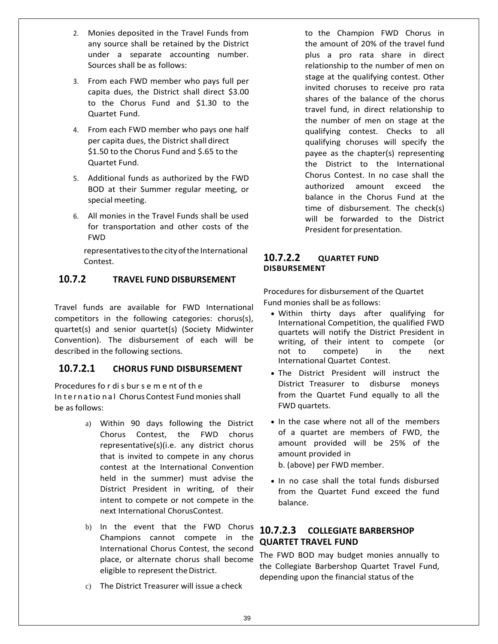- 2. Monies deposited in the Travel Funds from any source shall be retained by the District under a separate accounting number. Sources shall be as follows:
- 3. From each FWD member who pays full per capita dues, the District shall direct \$3.00 to the Chorus Fund and \$1.30 to the Quartet Fund.
- 4. From each FWD member who pays one half per capita dues, the District shalldirect \$1.50 to the Chorus Fund and \$.65 to the Quartet Fund.
- 5. Additional funds as authorized by the FWD BOD at their Summer regular meeting, or special meeting.
- 6. All monies in the Travel Funds shall be used for transportation and other costs of the FWD

representatives to the city of the International Contest.

# **10.7.2 TRAVEL FUND DISBURSEMENT**

Travel funds are available for FWD International competitors in the following categories: chorus(s), quartet(s) and senior quartet(s) (Society Midwinter Convention). The disbursement of each will be described in the following sections.

## **10.7.2.1 CHORUS FUND DISBURSEMENT**

Procedures fo r di s bur s e m e nt of th e In ternatio nal Chorus Contest Fund monies shall be as follows:

- a) Within 90 days following the District Chorus Contest, the FWD chorus representative(s)(i.e. any district chorus that is invited to compete in any chorus contest at the International Convention held in the summer) must advise the District President in writing, of their intent to compete or not compete in the next International ChorusContest.
- b) In the event that the FWD Chorus Champions cannot compete in the International Chorus Contest, the second place, or alternate chorus shall become eligible to represent the District.
- c) The District Treasurer will issue a check

to the Champion FWD Chorus in the amount of 20% of the travel fund plus a pro rata share in direct relationship to the number of men on stage at the qualifying contest. Other invited choruses to receive pro rata shares of the balance of the chorus travel fund, in direct relationship to the number of men on stage at the qualifying contest. Checks to all qualifying choruses will specify the payee as the chapter(s) representing the District to the International Chorus Contest. In no case shall the authorized amount exceed the balance in the Chorus Fund at the time of disbursement. The check(s) will be forwarded to the District President for presentation.

### **10.7.2.2 QUARTET FUND DISBURSEMENT**

Procedures for disbursement of the Quartet Fund monies shall be as follows:

- Within thirty days after qualifying for International Competition, the qualified FWD quartets will notify the District President in writing, of their intent to compete (or not to compete) in the next International Quartet Contest.
- The District President will instruct the District Treasurer to disburse moneys from the Quartet Fund equally to all the FWD quartets.
- In the case where not all of the members of a quartet are members of FWD, the amount provided will be 25% of the amount provided in

b. (above) per FWD member.

• In no case shall the total funds disbursed from the Quartet Fund exceed the fund balance.

# **10.7.2.3 COLLEGIATE BARBERSHOP QUARTET TRAVEL FUND**

The FWD BOD may budget monies annually to the Collegiate Barbershop Quartet Travel Fund, depending upon the financial status of the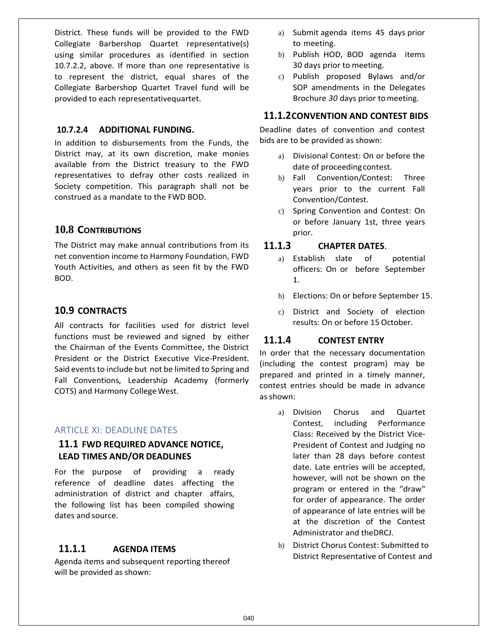District. These funds will be provided to the FWD Collegiate Barbershop Quartet representative(s) using similar procedures as identified in section 10.7.2.2, above. If more than one representative is to represent the district, equal shares of the Collegiate Barbershop Quartet Travel fund will be provided to each representativequartet.

#### **10.7.2.4 ADDITIONAL FUNDING.**

In addition to disbursements from the Funds, the District may, at its own discretion, make monies available from the District treasury to the FWD representatives to defray other costs realized in Society competition. This paragraph shall not be construed as a mandate to the FWD BOD.

# **10.8 CONTRIBUTIONS**

The District may make annual contributions from its net convention income to Harmony Foundation, FWD Youth Activities, and others as seen fit by the FWD BOD.

## **10.9 CONTRACTS**

All contracts for facilities used for district level functions must be reviewed and signed by either the Chairman of the Events Committee, the District President or the District Executive Vice-President. Said events to include but not be limited to Spring and Fall Conventions, Leadership Academy (formerly COTS) and Harmony College West.

#### ARTICLE XI: DEADLINE DATES

### **11.1 FWD REQUIRED ADVANCE NOTICE, LEAD TIMES AND/OR DEADLINES**

For the purpose of providing a ready reference of deadline dates affecting the administration of district and chapter affairs, the following list has been compiled showing dates and source.

## **11.1.1 AGENDA ITEMS**

Agenda items and subsequent reporting thereof will be provided as shown:

- a) Submit agenda items 45 days prior to meeting.
- b) Publish HOD, BOD agenda items 30 days prior to meeting.
- c) Publish proposed Bylaws and/or SOP amendments in the Delegates Brochure *30* days prior tomeeting.

### **11.1.2CONVENTION AND CONTEST BIDS**

Deadline dates of convention and contest bids are to be provided as shown:

- a) Divisional Contest: On or before the date of proceeding contest.
- b) Fall Convention/Contest: Three years prior to the current Fall Convention/Contest.
- c) Spring Convention and Contest: On or before January 1st, three years prior.

### **11.1.3 CHAPTER DATES**.

- a) Establish slate of potential officers: On or before September 1.
- b) Elections: On or before September 15.
- c) District and Society of election results: On or before 15 October.

## **11.1.4 CONTEST ENTRY**

In order that the necessary documentation (including the contest program) may be prepared and printed in a timely manner, contest entries should be made in advance as shown:

- a) Division Chorus and Quartet Contest, including Performance Class: Received by the District Vice-President of Contest and Judging no later than 28 days before contest date. Late entries will be accepted, however, will not be shown on the program or entered in the "draw" for order of appearance. The order of appearance of late entries will be at the discretion of the Contest Administrator and theDRCJ.
- b) District Chorus Contest: Submitted to District Representative of Contest and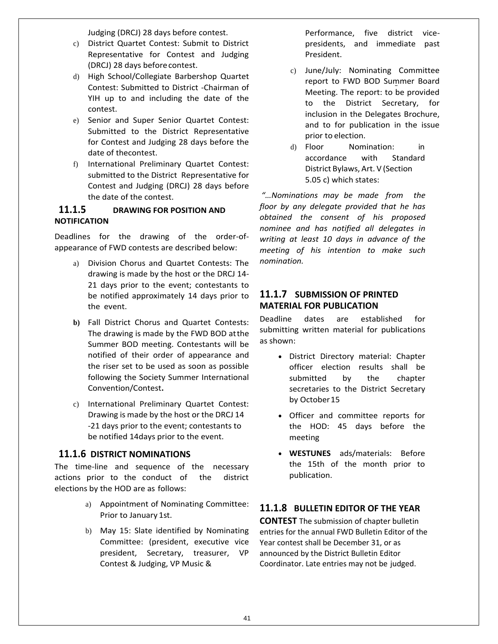Judging (DRCJ) 28 days before contest.

- c) District Quartet Contest: Submit to District Representative for Contest and Judging (DRCJ) 28 days beforecontest.
- d) High School/Collegiate Barbershop Quartet Contest: Submitted to District -Chairman of YIH up to and including the date of the contest.
- e) Senior and Super Senior Quartet Contest: Submitted to the District Representative for Contest and Judging 28 days before the date of thecontest.
- f) International Preliminary Quartet Contest: submitted to the District Representative for Contest and Judging (DRCJ) 28 days before the date of the contest.

### **11.1.5 DRAWING FOR POSITION AND NOTIFICATION**

Deadlines for the drawing of the order-ofappearance of FWD contests are described below:

- a) Division Chorus and Quartet Contests: The drawing is made by the host or the DRCJ 14- 21 days prior to the event; contestants to be notified approximately 14 days prior to the event.
- **b)** Fall District Chorus and Quartet Contests: The drawing is made by the FWD BOD atthe Summer BOD meeting. Contestants will be notified of their order of appearance and the riser set to be used as soon as possible following the Society Summer International Convention/Contest**.**
- c) International Preliminary Quartet Contest: Drawing is made by the host or the DRCJ 14 -21 days prior to the event; contestants to be notified 14days prior to the event.

### **11.1.6 DISTRICT NOMINATIONS**

The time-line and sequence of the necessary actions prior to the conduct of the district elections by the HOD are as follows:

- a) Appointment of Nominating Committee: Prior to January 1st.
- b) May 15: Slate identified by Nominating Committee: (president, executive vice president, Secretary, treasurer, VP Contest & Judging, VP Music &

Performance, five district vicepresidents, and immediate past President.

- c) June/July: Nominating Committee report to FWD BOD Summer Board Meeting. The report: to be provided to the District Secretary, for inclusion in the Delegates Brochure, and to for publication in the issue prior to election.
- d) Floor Nomination: in accordance with Standard District Bylaws, Art. V (Section 5.05 c) which states:

*"…Nominations may be made from the floor by any delegate provided that he has obtained the consent of his proposed nominee and has notified all delegates in writing at least 10 days in advance of the meeting of his intention to make such nomination.*

# **11.1.7 SUBMISSION OF PRINTED MATERIAL FOR PUBLICATION**

Deadline dates are established for submitting written material for publications as shown:

- District Directory material: Chapter officer election results shall be submitted by the chapter secretaries to the District Secretary by October15
- Officer and committee reports for the HOD: 45 days before the meeting
- **WESTUNES** ads/materials: Before the 15th of the month prior to publication.

# **11.1.8 BULLETIN EDITOR OF THE YEAR**

**CONTEST** The submission of chapter bulletin entries for the annual FWD Bulletin Editor of the Year contest shall be December 31, or as announced by the District Bulletin Editor Coordinator. Late entries may not be judged.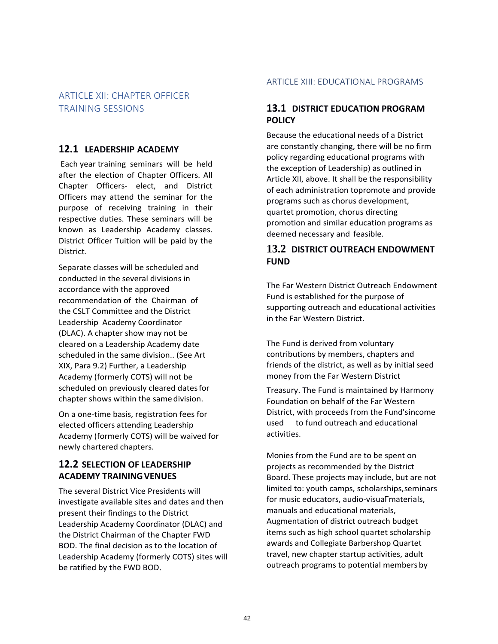# ARTICLE XII: CHAPTER OFFICER TRAINING SESSIONS

# **12.1 LEADERSHIP ACADEMY**

Each year training seminars will be held after the election of Chapter Officers. All Chapter Officers- elect, and District Officers may attend the seminar for the purpose of receiving training in their respective duties. These seminars will be known as Leadership Academy classes. District Officer Tuition will be paid by the District.

Separate classes will be scheduled and conducted in the several divisions in accordance with the approved recommendation of the Chairman of the CSLT Committee and the District Leadership Academy Coordinator (DLAC). A chapter show may not be cleared on a Leadership Academy date scheduled in the same division.. (See Art XIX, Para 9.2) Further, a Leadership Academy (formerly COTS) will not be scheduled on previously cleared datesfor chapter shows within the samedivision.

On a one-time basis, registration fees for elected officers attending Leadership Academy (formerly COTS) will be waived for newly chartered chapters.

## **12.2 SELECTION OF LEADERSHIP ACADEMY TRAININGVENUES**

The several District Vice Presidents will investigate available sites and dates and then present their findings to the District Leadership Academy Coordinator (DLAC) and the District Chairman of the Chapter FWD BOD. The final decision as to the location of Leadership Academy (formerly COTS) sites will be ratified by the FWD BOD.

### ARTICLE XIII: EDUCATIONAL PROGRAMS

## **13.1 DISTRICT EDUCATION PROGRAM POLICY**

Because the educational needs of a District are constantly changing, there will be no firm policy regarding educational programs with the exception of Leadership) as outlined in Article XII, above. It shall be the responsibility of each administration topromote and provide programs such as chorus development, quartet promotion, chorus directing promotion and similar education programs as deemed necessary and feasible.

# **13.2 DISTRICT OUTREACH ENDOWMENT FUND**

The Far Western District Outreach Endowment Fund is established for the purpose of supporting outreach and educational activities in the Far Western District.

The Fund is derived from voluntary contributions by members, chapters and friends of the district, as well as by initial seed money from the Far Western District

Treasury. The Fund is maintained by Harmony Foundation on behalf of the Far Western District, with proceeds from the Fund'sincome used to fund outreach and educational activities.

Monies from the Fund are to be spent on projects as recommended by the District Board. These projects may include, but are not limited to: youth camps, scholarships,seminars for music educators, audio-visual materials, manuals and educational materials, Augmentation of district outreach budget items such as high school quartet scholarship awards and Collegiate Barbershop Quartet travel, new chapter startup activities, adult outreach programs to potential members by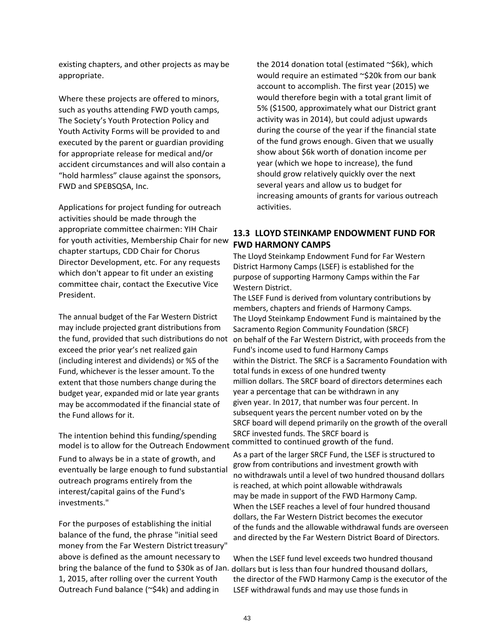existing chapters, and other projects as may be appropriate.

Where these projects are offered to minors, such as youths attending FWD youth camps, The Society's Youth Protection Policy and Youth Activity Forms will be provided to and executed by the parent or guardian providing for appropriate release for medical and/or accident circumstances and will also contain a "hold harmless" clause against the sponsors, FWD and SPEBSQSA, Inc.

Applications for project funding for outreach activities should be made through the appropriate committee chairmen: YIH Chair for youth activities, Membership Chair for new chapter startups, CDD Chair for Chorus Director Development, etc. For any requests which don't appear to fit under an existing committee chair, contact the Executive Vice President.

The annual budget of the Far Western District may include projected grant distributions from the fund, provided that such distributions do not exceed the prior year's net realized gain (including interest and dividends) or %5 of the Fund, whichever is the lesser amount. To the extent that those numbers change during the budget year, expanded mid or late year grants may be accommodated if the financial state of the Fund allows for it.

The intention behind this funding/spending model is to allow for the Outreach Endowment committed to continued growth of the fund.

Fund to always be in a state of growth, and eventually be large enough to fund substantial outreach programs entirely from the interest/capital gains of the Fund's investments."

For the purposes of establishing the initial balance of the fund, the phrase "initial seed money from the Far Western District treasury" above is defined as the amount necessary to 1, 2015, after rolling over the current Youth Outreach Fund balance (~\$4k) and adding in

the 2014 donation total (estimated  $\sim$ \$6k), which would require an estimated ~\$20k from our bank account to accomplish. The first year (2015) we would therefore begin with a total grant limit of 5% (\$1500, approximately what our District grant activity was in 2014), but could adjust upwards during the course of the year if the financial state of the fund grows enough. Given that we usually show about \$6k worth of donation income per year (which we hope to increase), the fund should grow relatively quickly over the next several years and allow us to budget for increasing amounts of grants for various outreach activities.

## **13.3 LLOYD STEINKAMP ENDOWMENT FUND FOR FWD HARMONY CAMPS**

The Lloyd Steinkamp Endowment Fund for Far Western District Harmony Camps (LSEF) is established for the purpose of supporting Harmony Camps within the Far Western District.

The LSEF Fund is derived from voluntary contributions by members, chapters and friends of Harmony Camps. The Lloyd Steinkamp Endowment Fund is maintained by the Sacramento Region Community Foundation (SRCF) on behalf of the Far Western District, with proceeds from the Fund's income used to fund Harmony Camps within the District. The SRCF is a Sacramento Foundation with total funds in excess of one hundred twenty million dollars. The SRCF board of directors determines each year a percentage that can be withdrawn in any given year. In 2017, that number was four percent. In subsequent years the percent number voted on by the SRCF board will depend primarily on the growth of the overall SRCF invested funds. The SRCF board is

As a part of the larger SRCF Fund, the LSEF is structured to grow from contributions and investment growth with no withdrawals until a level of two hundred thousand dollars is reached, at which point allowable withdrawals may be made in support of the FWD Harmony Camp. When the LSEF reaches a level of four hundred thousand dollars, the Far Western District becomes the executor of the funds and the allowable withdrawal funds are overseen and directed by the Far Western District Board of Directors.

When the LSEF fund level exceeds two hundred thousand bring the balance of the fund to \$30k as of Jan. dollars but is less than four hundred thousand dollars, the director of the FWD Harmony Camp is the executor of the LSEF withdrawal funds and may use those funds in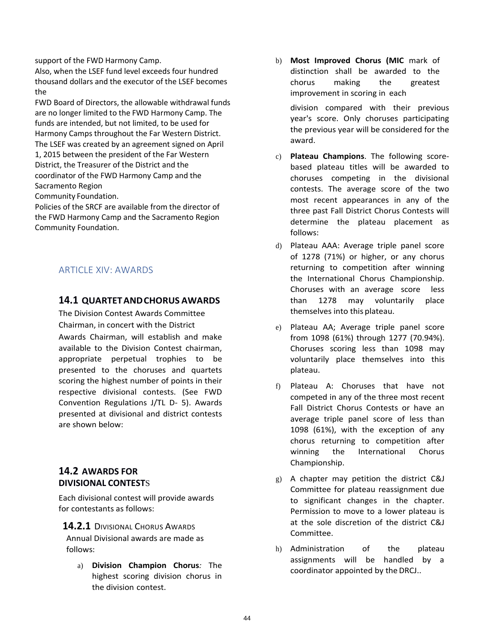support of the FWD Harmony Camp.

Also, when the LSEF fund level exceeds four hundred thousand dollars and the executor of the LSEF becomes the

FWD Board of Directors, the allowable withdrawal funds are no longer limited to the FWD Harmony Camp. The funds are intended, but not limited, to be used for Harmony Camps throughout the Far Western District. The LSEF was created by an agreement signed on April 1, 2015 between the president of the Far Western District, the Treasurer of the District and the coordinator of the FWD Harmony Camp and the Sacramento Region

Community Foundation.

Policies of the SRCF are available from the director of the FWD Harmony Camp and the Sacramento Region Community Foundation.

### ARTICLE XIV: AWARDS

### **14.1 QUARTETANDCHORUS AWARDS**

The Division Contest Awards Committee Chairman, in concert with the District Awards Chairman, will establish and make available to the Division Contest chairman, appropriate perpetual trophies to be presented to the choruses and quartets scoring the highest number of points in their respective divisional contests. (See FWD Convention Regulations J/TL D- 5). Awards presented at divisional and district contests are shown below:

### **14.2 AWARDS FOR DIVISIONAL CONTEST**S

Each divisional contest will provide awards for contestants as follows:

**14.2.1** DIVISIONAL CHORUS AWARDS Annual Divisional awards are made as follows:

a) **Division Champion Chorus***:* The highest scoring division chorus in the division contest.

b) **Most Improved Chorus (MIC** mark of distinction shall be awarded to the chorus making the greatest improvement in scoring in each

division compared with their previous year's score. Only choruses participating the previous year will be considered for the award.

- c) **Plateau Champions**. The following scorebased plateau titles will be awarded to choruses competing in the divisional contests. The average score of the two most recent appearances in any of the three past Fall District Chorus Contests will determine the plateau placement as follows:
- d) Plateau AAA: Average triple panel score of 1278 (71%) or higher, or any chorus returning to competition after winning the International Chorus Championship. Choruses with an average score less than 1278 may voluntarily place themselves into this plateau.
- e) Plateau AA; Average triple panel score from 1098 (61%) through 1277 (70.94%). Choruses scoring less than 1098 may voluntarily place themselves into this plateau.
- f) Plateau A: Choruses that have not competed in any of the three most recent Fall District Chorus Contests or have an average triple panel score of less than 1098 (61%), with the exception of any chorus returning to competition after winning the International Chorus Championship.
- g) A chapter may petition the district C&J Committee for plateau reassignment due to significant changes in the chapter. Permission to move to a lower plateau is at the sole discretion of the district C&J Committee.
- h) Administration of the plateau assignments will be handled by a coordinator appointed by the DRCJ..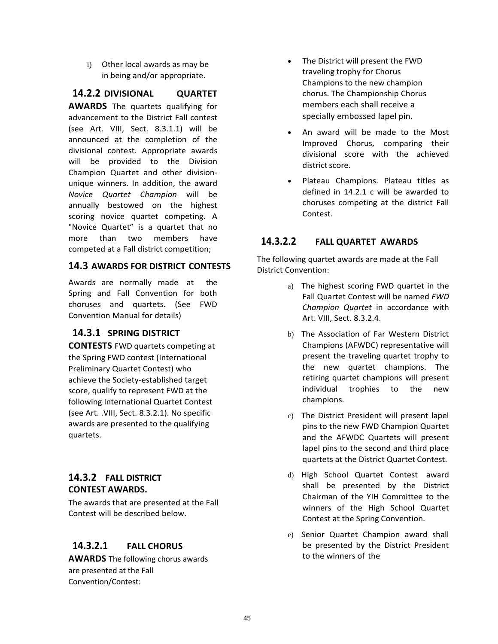i) Other local awards as may be in being and/or appropriate.

# **14.2.2 DIVISIONAL QUARTET**

**AWARDS** The quartets qualifying for advancement to the District Fall contest (see Art. VIII, Sect. 8.3.1.1) will be announced at the completion of the divisional contest. Appropriate awards will be provided to the Division Champion Quartet and other divisionunique winners. In addition, the award *Novice Quartet Champion* will be annually bestowed on the highest scoring novice quartet competing. A "Novice Quartet" is a quartet that no more than two members have competed at a Fall district competition;

### **14.3 AWARDS FOR DISTRICT CONTESTS**

Awards are normally made at the Spring and Fall Convention for both choruses and quartets. (See FWD Convention Manual for details)

### **14.3.1 SPRING DISTRICT**

**CONTESTS** FWD quartets competing at the Spring FWD contest (International Preliminary Quartet Contest) who achieve the Society-established target score, qualify to represent FWD at the following International Quartet Contest (see Art. .VIII, Sect. 8.3.2.1). No specific awards are presented to the qualifying quartets.

## **14.3.2 FALL DISTRICT CONTEST AWARDS.**

The awards that are presented at the Fall Contest will be described below.

## **14.3.2.1 FALL CHORUS**

**AWARDS** The following chorus awards are presented at the Fall Convention/Contest:

- The District will present the FWD traveling trophy for Chorus Champions to the new champion chorus. The Championship Chorus members each shall receive a specially embossed lapel pin.
- An award will be made to the Most Improved Chorus, comparing their divisional score with the achieved district score.
- Plateau Champions. Plateau titles as defined in 14.2.1 c will be awarded to choruses competing at the district Fall Contest.

## **14.3.2.2 FALL QUARTET AWARDS**

The following quartet awards are made at the Fall District Convention:

- a) The highest scoring FWD quartet in the Fall Quartet Contest will be named *FWD Champion Quartet* in accordance with Art. VIII, Sect. 8.3.2.4.
- b) The Association of Far Western District Champions (AFWDC) representative will present the traveling quartet trophy to the new quartet champions. The retiring quartet champions will present individual trophies to the new champions.
- c) The District President will present lapel pins to the new FWD Champion Quartet and the AFWDC Quartets will present lapel pins to the second and third place quartets at the District Quartet Contest.
- d) High School Quartet Contest award shall be presented by the District Chairman of the YIH Committee to the winners of the High School Quartet Contest at the Spring Convention.
- e) Senior Quartet Champion award shall be presented by the District President to the winners of the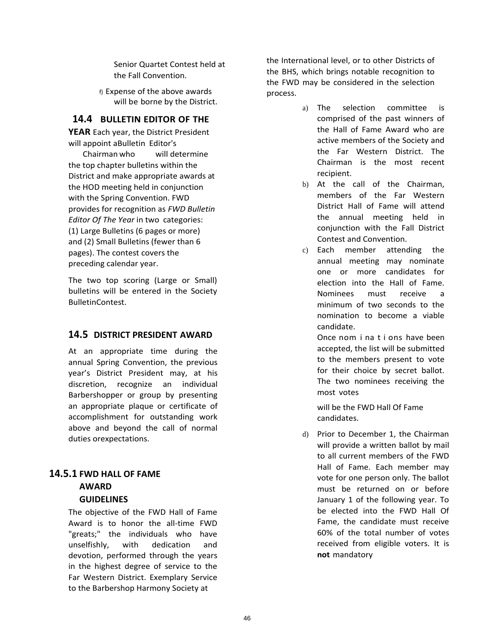Senior Quartet Contest held at the Fall Convention.

f) Expense of the above awards will be borne by the District.

### **14.4 BULLETIN EDITOR OF THE**

**YEAR** Each year, the District President will appoint aBulletin Editor's

Chairman who will determine the top chapter bulletins within the District and make appropriate awards at the HOD meeting held in conjunction with the Spring Convention. FWD provides for recognition as *FWD Bulletin Editor Of The Year* in two categories: (1) Large Bulletins (6 pages or more) and (2) Small Bulletins (fewer than 6 pages). The contest covers the preceding calendar year.

The two top scoring (Large or Small) bulletins will be entered in the Society BulletinContest.

### **14.5 DISTRICT PRESIDENT AWARD**

At an appropriate time during the annual Spring Convention, the previous year's District President may, at his discretion, recognize an individual Barbershopper or group by presenting an appropriate plaque or certificate of accomplishment for outstanding work above and beyond the call of normal duties orexpectations.

# **14.5.1 FWD HALL OF FAME AWARD**

### **GUIDELINES**

The objective of the FWD Hall of Fame Award is to honor the all-time FWD "greats;" the individuals who have unselfishly, with dedication and devotion, performed through the years in the highest degree of service to the Far Western District. Exemplary Service to the Barbershop Harmony Society at

the International level, or to other Districts of the BHS, which brings notable recognition to the FWD may be considered in the selection process.

- a) The selection committee is comprised of the past winners of the Hall of Fame Award who are active members of the Society and the Far Western District. The Chairman is the most recent recipient.
- b) At the call of the Chairman, members of the Far Western District Hall of Fame will attend the annual meeting held in conjunction with the Fall District Contest and Convention.
- c) Each member attending the annual meeting may nominate one or more candidates for election into the Hall of Fame. Nominees must receive a minimum of two seconds to the nomination to become a viable candidate.

Once nom i na t i ons have been accepted, the list will be submitted to the members present to vote for their choice by secret ballot. The two nominees receiving the most votes

will be the FWD Hall Of Fame candidates.

d) Prior to December 1, the Chairman will provide a written ballot by mail to all current members of the FWD Hall of Fame. Each member may vote for one person only. The ballot must be returned on or before January 1 of the following year. To be elected into the FWD Hall Of Fame, the candidate must receive 60% of the total number of votes received from eligible voters. It is **not** mandatory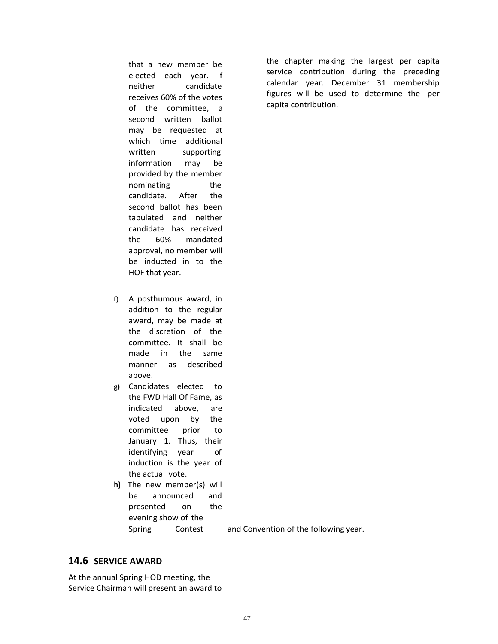that a new member be elected each year. If neither candidate receives 60% of the votes of the committee, a second written ballot may be requested at which time additional written supporting information may be provided by the member nominating the candidate. After the second ballot has been tabulated and neither candidate has received the 60% mandated approval, no member will be inducted in to the HOF that year.

- **f)** A posthumous award, in addition to the regular award**,** may be made at the discretion of the committee. It shall be made in the same manner as described above.
- **g)** Candidates elected to the FWD Hall Of Fame, as indicated above, are voted upon by the committee prior to January 1. Thus, their identifying year of induction is the year of the actual vote.
- **h)** The new member(s) will be announced and presented on the evening show of the

Spring Contest and Convention of the following year.

### **14.6 SERVICE AWARD**

At the annual Spring HOD meeting, the Service Chairman will present an award to the chapter making the largest per capita service contribution during the preceding calendar year. December 31 membership figures will be used to determine the per capita contribution.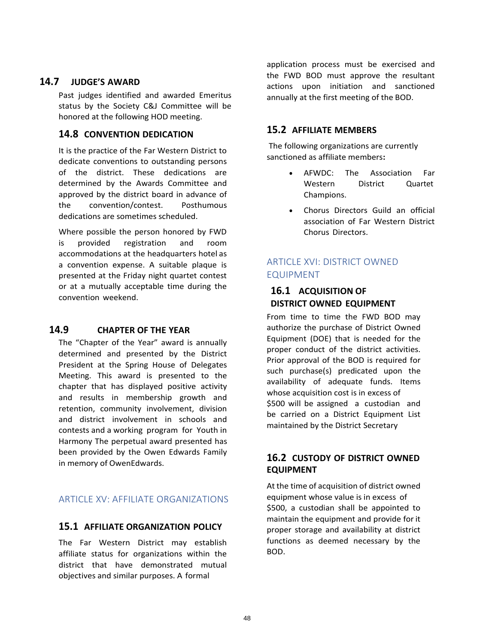### **14.7 JUDGE'S AWARD**

Past judges identified and awarded Emeritus status by the Society C&J Committee will be honored at the following HOD meeting.

### **14.8 CONVENTION DEDICATION**

It is the practice of the Far Western District to dedicate conventions to outstanding persons of the district. These dedications are determined by the Awards Committee and approved by the district board in advance of the convention/contest. Posthumous dedications are sometimes scheduled.

Where possible the person honored by FWD is provided registration and room accommodations at the headquarters hotel as a convention expense. A suitable plaque is presented at the Friday night quartet contest or at a mutually acceptable time during the convention weekend.

### **14.9 CHAPTER OF THE YEAR**

The "Chapter of the Year" award is annually determined and presented by the District President at the Spring House of Delegates Meeting. This award is presented to the chapter that has displayed positive activity and results in membership growth and retention, community involvement, division and district involvement in schools and contests and a working program for Youth in Harmony The perpetual award presented has been provided by the Owen Edwards Family in memory of OwenEdwards.

## ARTICLE XV: AFFILIATE ORGANIZATIONS

### **15.1 AFFILIATE ORGANIZATION POLICY**

The Far Western District may establish affiliate status for organizations within the district that have demonstrated mutual objectives and similar purposes. A formal

application process must be exercised and the FWD BOD must approve the resultant actions upon initiation and sanctioned annually at the first meeting of the BOD.

# **15.2 AFFILIATE MEMBERS**

The following organizations are currently sanctioned as affiliate members**:**

- AFWDC: The Association Far Western District Quartet Champions.
- Chorus Directors Guild an official association of Far Western District Chorus Directors.

# ARTICLE XVI: DISTRICT OWNED EQUIPMENT

## **16.1 ACQUISITION OF DISTRICT OWNED EQUIPMENT**

From time to time the FWD BOD may authorize the purchase of District Owned Equipment (DOE) that is needed for the proper conduct of the district activities. Prior approval of the BOD is required for such purchase(s) predicated upon the availability of adequate funds. Items whose acquisition cost is in excess of \$500 will be assigned a custodian and be carried on a District Equipment List maintained by the District Secretary

### **16.2 CUSTODY OF DISTRICT OWNED EQUIPMENT**

At the time of acquisition of district owned equipment whose value is in excess of \$500, a custodian shall be appointed to maintain the equipment and provide for it proper storage and availability at district functions as deemed necessary by the BOD.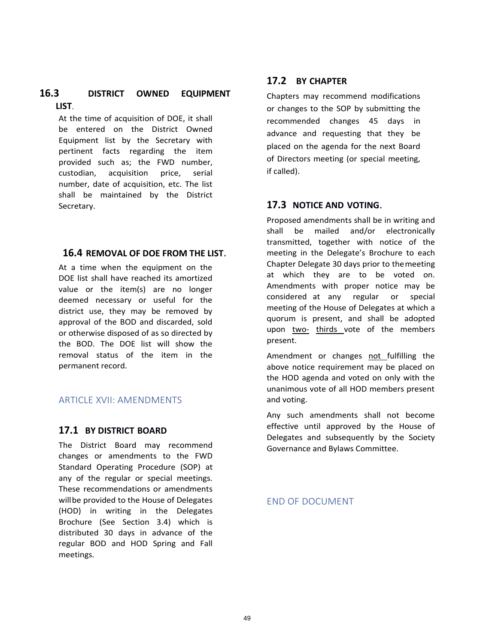### **16.3 DISTRICT OWNED EQUIPMENT LIST**.

At the time of acquisition of DOE, it shall be entered on the District Owned Equipment list by the Secretary with pertinent facts regarding the item provided such as; the FWD number, custodian, acquisition price, serial number, date of acquisition, etc. The list shall be maintained by the District Secretary.

#### **16.4 REMOVAL OF DOE FROM THE LIST**.

At a time when the equipment on the DOE list shall have reached its amortized value or the item(s) are no longer deemed necessary or useful for the district use, they may be removed by approval of the BOD and discarded, sold or otherwise disposed of as so directed by the BOD. The DOE list will show the removal status of the item in the permanent record.

### ARTICLE XVII: AMENDMENTS

#### **17.1 BY DISTRICT BOARD**

The District Board may recommend changes or amendments to the FWD Standard Operating Procedure (SOP) at any of the regular or special meetings. These recommendations or amendments willbe provided to the House of Delegates (HOD) in writing in the Delegates Brochure (See Section 3.4) which is distributed 30 days in advance of the regular BOD and HOD Spring and Fall meetings.

### **17.2 BY CHAPTER**

Chapters may recommend modifications or changes to the SOP by submitting the recommended changes 45 days in advance and requesting that they be placed on the agenda for the next Board of Directors meeting (or special meeting, if called).

### **17.3 NOTICE AND VOTING**.

Proposed amendments shall be in writing and shall be mailed and/or electronically transmitted, together with notice of the meeting in the Delegate's Brochure to each Chapter Delegate 30 days prior to themeeting at which they are to be voted on. Amendments with proper notice may be considered at any regular or special meeting of the House of Delegates at which a quorum is present, and shall be adopted upon two- thirds vote of the members present.

Amendment or changes not fulfilling the above notice requirement may be placed on the HOD agenda and voted on only with the unanimous vote of all HOD members present and voting.

Any such amendments shall not become effective until approved by the House of Delegates and subsequently by the Society Governance and Bylaws Committee.

END OF DOCUMENT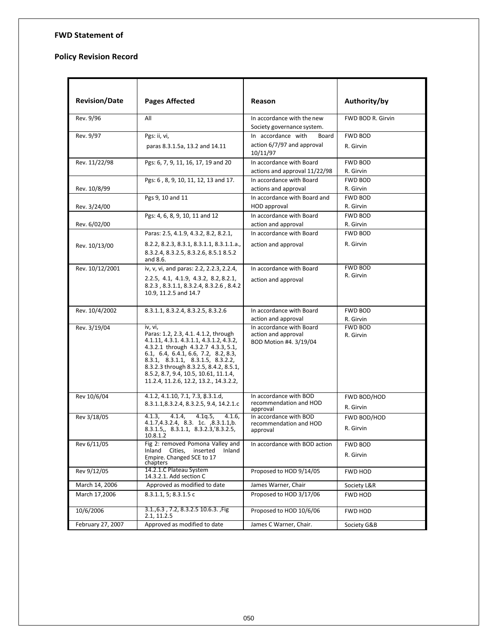#### **FWD Statement of**

#### **Policy Revision Record**

| <b>Revision/Date</b> | <b>Pages Affected</b>                                                                                                                                                                                                                                                                                                                       | <b>Reason</b>                                                             | Authority/by                |
|----------------------|---------------------------------------------------------------------------------------------------------------------------------------------------------------------------------------------------------------------------------------------------------------------------------------------------------------------------------------------|---------------------------------------------------------------------------|-----------------------------|
| Rev. 9/96            | All                                                                                                                                                                                                                                                                                                                                         | In accordance with the new<br>Society governance system.                  | FWD BOD R. Girvin           |
| Rev. 9/97            | Pgs: ii, vi,                                                                                                                                                                                                                                                                                                                                | In accordance with<br>Board                                               | <b>FWD BOD</b>              |
|                      | paras 8.3.1.5a, 13.2 and 14.11                                                                                                                                                                                                                                                                                                              | action 6/7/97 and approval<br>10/11/97                                    | R. Girvin                   |
| Rev. 11/22/98        | Pgs: 6, 7, 9, 11, 16, 17, 19 and 20                                                                                                                                                                                                                                                                                                         | In accordance with Board<br>actions and approval 11/22/98                 | <b>FWD BOD</b><br>R. Girvin |
| Rev. 10/8/99         | Pgs: 6, 8, 9, 10, 11, 12, 13 and 17.                                                                                                                                                                                                                                                                                                        | In accordance with Board<br>actions and approval                          | <b>FWD BOD</b><br>R. Girvin |
| Rev. 3/24/00         | Pgs 9, 10 and 11                                                                                                                                                                                                                                                                                                                            | In accordance with Board and<br>HOD approval                              | <b>FWD BOD</b><br>R. Girvin |
|                      | Pgs: 4, 6, 8, 9, 10, 11 and 12                                                                                                                                                                                                                                                                                                              | In accordance with Board                                                  | <b>FWD BOD</b>              |
| Rev. 6/02/00         |                                                                                                                                                                                                                                                                                                                                             | action and approval                                                       | R. Girvin                   |
|                      | Paras: 2.5, 4.1.9, 4.3.2, 8.2, 8.2.1,                                                                                                                                                                                                                                                                                                       | In accordance with Board                                                  | <b>FWD BOD</b>              |
| Rev. 10/13/00        | 8.2.2, 8.2.3, 8.3.1, 8.3.1.1, 8.3.1.1.a.,<br>8.3.2.4, 8.3.2.5, 8.3.2.6, 8.5.1 8.5.2<br>and 8.6.                                                                                                                                                                                                                                             | action and approval                                                       | R. Girvin                   |
| Rev. 10/12/2001      | iv, v, vi, and paras: 2.2, 2.2.3, 2.2.4,                                                                                                                                                                                                                                                                                                    | In accordance with Board                                                  | <b>FWD BOD</b>              |
|                      | 2.2.5, 4.1, 4.1.9, 4.3.2, 8.2, 8.2.1,<br>8.2.3, 8.3.1.1, 8.3.2.4, 8.3.2.6, 8.4.2<br>10.9, 11.2.5 and 14.7                                                                                                                                                                                                                                   | action and approval                                                       | R. Girvin                   |
| Rev. 10/4/2002       | 8.3.1.1, 8.3.2.4, 8.3.2.5, 8.3.2.6                                                                                                                                                                                                                                                                                                          | In accordance with Board                                                  | <b>FWD BOD</b>              |
|                      |                                                                                                                                                                                                                                                                                                                                             | action and approval                                                       | R. Girvin                   |
| Rev. 3/19/04         | iv, vi,<br>Paras: 1.2, 2.3, 4.1. 4.1.2, through<br>4.1.11, 4.3.1. 4.3.1.1, 4.3.1.2, 4.3.2,<br>4.3.2.1 through 4.3.2.7 4.3.3, 5.1,<br>6.1, 6.4, 6.4.1, 6.6, 7.2, 8.2, 8.3,<br>8.3.1, 8.3.1.1, 8.3.1.5, 8.3.2.2,<br>8.3.2.3 through 8.3.2.5, 8.4.2, 8.5.1,<br>8.5.2, 8.7, 9.4, 10.5, 10.61, 11.1.4,<br>11.2.4, 11.2.6, 12.2, 13.2., 14.3.2.2, | In accordance with Board<br>action and approval<br>BOD Motion #4. 3/19/04 | <b>FWD BOD</b><br>R. Girvin |
| Rev 10/6/04          | 4.1.2, 4.1.10, 7.1, 7.3, 8.3.1.d,                                                                                                                                                                                                                                                                                                           | In accordance with BOD<br>recommendation and HOD                          | FWD BOD/HOD                 |
|                      | 8.3.1.1,8.3.2.4, 8.3.2.5, 9.4, 14.2.1.c                                                                                                                                                                                                                                                                                                     | approval                                                                  | R. Girvin                   |
| Rev 3/18/05          | 4.1.4.<br>4.1q.5<br>4.1.3.<br>$\overline{4.1.6}$ ,                                                                                                                                                                                                                                                                                          | In accordance with BOD                                                    | FWD BOD/HOD                 |
|                      | 4.1.7,4.3.2.4, 8.3. 1c. ,8.3.1.1,b.<br>8.3.1.5, 8.3.1.1, 8.3.2.3, 8.3.2.5,<br>10.8.1.2                                                                                                                                                                                                                                                      | recommendation and HOD<br>approval                                        | R. Girvin                   |
| Rev 6/11/05          | Fig 2: removed Pomona Valley and                                                                                                                                                                                                                                                                                                            | In accordance with BOD action                                             | FWD BOD                     |
|                      | Inland Cities,<br>inserted<br>Inland<br>Empire. Changed SCE to 17<br>chapters                                                                                                                                                                                                                                                               |                                                                           | R. Girvin                   |
| Rev 9/12/05          | 14.2.1.C Plateau System<br>14.3.2.1. Add section C                                                                                                                                                                                                                                                                                          | Proposed to HOD 9/14/05                                                   | FWD HOD                     |
| March 14, 2006       | Approved as modified to date                                                                                                                                                                                                                                                                                                                | James Warner, Chair                                                       | Society L&R                 |
| March 17,2006        | 8.3.1.1, 5; 8.3.1.5 c                                                                                                                                                                                                                                                                                                                       | Proposed to HOD 3/17/06                                                   | FWD HOD                     |
| 10/6/2006            | 3.1., 6.3, 7.2, 8.3. 2.5 10. 6.3., Fig.<br>2.1, 11.2.5                                                                                                                                                                                                                                                                                      | Proposed to HOD 10/6/06                                                   | FWD HOD                     |
| February 27, 2007    | Approved as modified to date                                                                                                                                                                                                                                                                                                                | James C Warner, Chair.                                                    | Society G&B                 |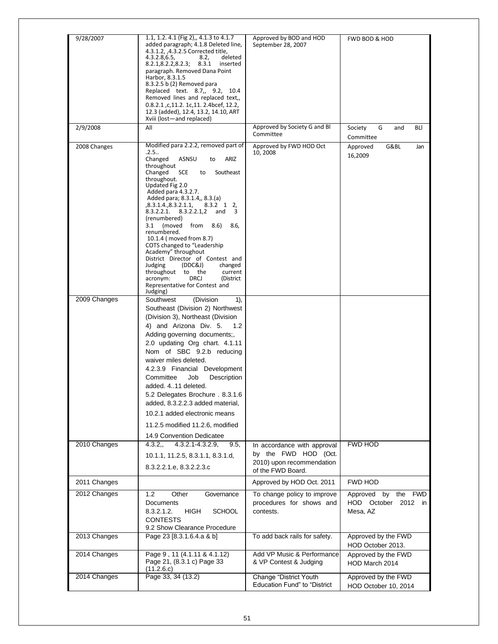| 9/28/2007    | 1.1, 1.2. 4.1 (Fig 2),, 4.1.3 to 4.1.7<br>added paragraph; 4.1.8 Deleted line,<br>4.3.1.2, ,4.3.2.5 Corrected title,<br>4.3.2.8, 6.5,<br>deleted<br>8.2,<br>8.2.1, 8.2.2, 8.2.3; 8.3.1<br>inserted<br>paragraph. Removed Dana Point<br>Harbor, 8.3.1.5<br>8.3.2.5 b (2) Removed para<br>Replaced text. 8.7,, 9.2, 10.4<br>Removed lines and replaced text,,<br>0.8.2.1, c, 11.2. 1c, 11. 2.4bcef, 12.2,<br>12.3 (added), 12.4, 13.2, 14.10, ART<br>Xviii (lost-and replaced)                                                                                                                                                                                | Approved by BOD and HOD<br>September 28, 2007                                                         | FWD BOD & HOD                                                |
|--------------|-------------------------------------------------------------------------------------------------------------------------------------------------------------------------------------------------------------------------------------------------------------------------------------------------------------------------------------------------------------------------------------------------------------------------------------------------------------------------------------------------------------------------------------------------------------------------------------------------------------------------------------------------------------|-------------------------------------------------------------------------------------------------------|--------------------------------------------------------------|
| 2/9/2008     | All                                                                                                                                                                                                                                                                                                                                                                                                                                                                                                                                                                                                                                                         | Approved by Society G and Bl<br>Committee                                                             | G<br><b>BLI</b><br>Society<br>and<br>Committee               |
| 2008 Changes | Modified para 2.2.2, removed part of<br>.2.5<br>Changed<br><b>ARIZ</b><br>ASNSU<br>to<br>throughout<br>Changed<br>SCE<br>to<br>Southeast<br>throughout.<br>Updated Fig 2.0<br>Added para 4.3.2.7.<br>Added para; 8.3.1.4,, 8.3.(a)<br>,8.3.1.4.,8.3.2.1.1, 8.3.2 1 2,<br>8.3.2.2.1. 8.3.2.2.1,2 and<br>- 3<br>(renumbered)<br>(moved<br>3.1<br>from 8.6)<br>8.6,<br>renumbered.<br>10.1.4 (moved from 8.7)<br>COTS changed to "Leadership<br>Academy" throughout<br>District Director of Contest and<br>Judging<br>(DDC&J)<br>changed<br>throughout to the<br>current<br>acronym:<br><b>DRCJ</b><br>(District<br>Representative for Contest and<br>Judging) | Approved by FWD HOD Oct<br>10, 2008                                                                   | G&BL<br>Approved<br>Jan<br>16,2009                           |
| 2009 Changes | (Division<br>Southwest<br>1),<br>Southeast (Division 2) Northwest<br>(Division 3), Northeast (Division<br>4) and Arizona Div. 5.<br>1.2<br>Adding governing documents;,<br>2.0 updating Org chart. 4.1.11<br>Nom of SBC 9.2.b reducing<br>waiver miles deleted.<br>4.2.3.9 Financial Development<br>Committee<br>Job<br>Description<br>added, 411 deleted.<br>5.2 Delegates Brochure. 8.3.1.6<br>added, 8.3.2.2.3 added material,<br>10.2.1 added electronic means<br>11.2.5 modified 11.2.6, modified<br>14.9 Convention Dedicatee                                                                                                                         |                                                                                                       |                                                              |
| 2010 Changes | 4.3.2,<br>$4.3.2.1 - 4.3.2.9,$<br>9.5,<br>10.1.1, 11.2.5, 8.3.1.1, 8.3.1.d,<br>8.3.2.2.1.e, 8.3.2.2.3.c                                                                                                                                                                                                                                                                                                                                                                                                                                                                                                                                                     | In accordance with approval<br>by the FWD HOD (Oct.<br>2010) upon recommendation<br>of the FWD Board. | <b>FWD HOD</b>                                               |
| 2011 Changes |                                                                                                                                                                                                                                                                                                                                                                                                                                                                                                                                                                                                                                                             | Approved by HOD Oct. 2011                                                                             | FWD HOD                                                      |
| 2012 Changes | 1.2<br>Other<br>Governance<br>Documents<br>8.3.2.1.2.<br>HIGH<br><b>SCHOOL</b><br><b>CONTESTS</b><br>9.2 Show Clearance Procedure                                                                                                                                                                                                                                                                                                                                                                                                                                                                                                                           | To change policy to improve<br>procedures for shows and<br>contests.                                  | the FWD<br>Approved<br>by<br>HOD October 2012 in<br>Mesa, AZ |
| 2013 Changes | Page 23 [8.3.1.6.4.a & b]                                                                                                                                                                                                                                                                                                                                                                                                                                                                                                                                                                                                                                   | To add back rails for safety.                                                                         | Approved by the FWD<br>HOD October 2013.                     |
| 2014 Changes | Page 9, 11 (4.1.11 & 4.1.12)<br>Page 21, (8.3.1 c) Page 33<br>(11.2.6.c)                                                                                                                                                                                                                                                                                                                                                                                                                                                                                                                                                                                    | Add VP Music & Performance<br>& VP Contest & Judging                                                  | Approved by the FWD<br>HOD March 2014                        |
| 2014 Changes | Page 33, 34 (13.2)                                                                                                                                                                                                                                                                                                                                                                                                                                                                                                                                                                                                                                          | Change "District Youth<br><b>Education Fund" to "District</b>                                         | Approved by the FWD<br>HOD October 10, 2014                  |